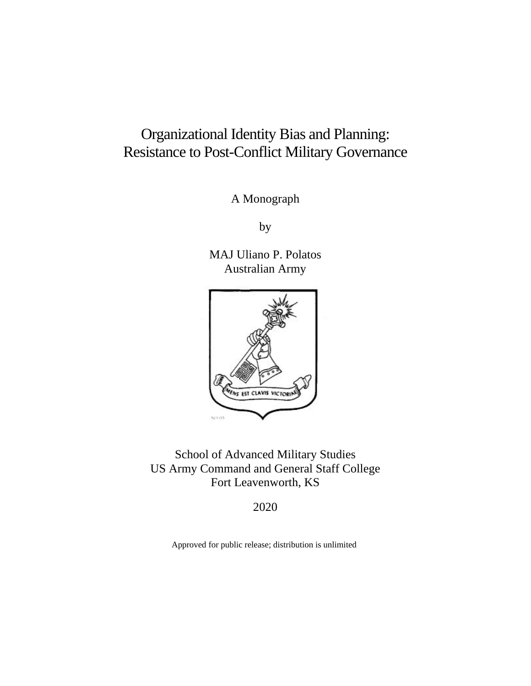# Organizational Identity Bias and Planning: Resistance to Post-Conflict Military Governance

A Monograph

by

MAJ Uliano P. Polatos Australian Army



School of Advanced Military Studies US Army Command and General Staff College Fort Leavenworth, KS

2020

Approved for public release; distribution is unlimited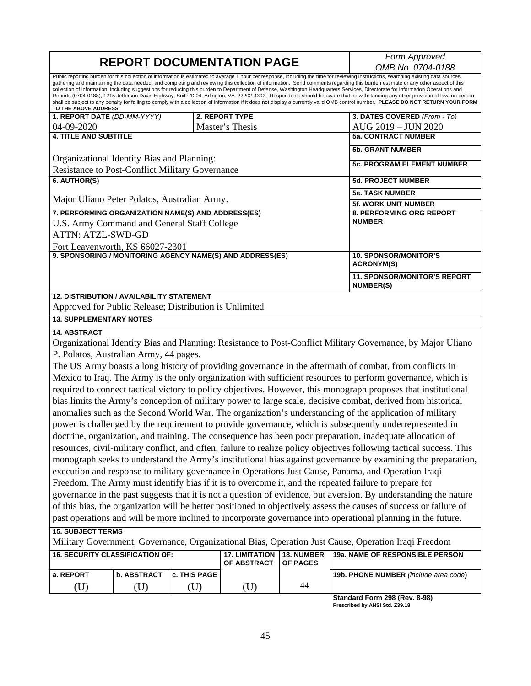# **REPORT DOCUMENTATION PAGE** *Form Approved*

*OMB No. 0704-0188*

Public reporting burden for this collection of information is estimated to average 1 hour per response, including the time for reviewing instructions, searching existing data sources, gathering and maintaining the data needed, and completing and reviewing this collection of information. Send comments regarding this burden estimate or any other aspect of this<br>collection of information, including suggest Reports (0704-0188), 1215 Jefferson Davis Highway, Suite 1204, Arlington, VA 22202-4302. Respondents should be aware that notwithstanding any other provision of law, no person shall be subject to any penalty for failing to comply with a collection of information if it does not display a currently valid OMB control number. **PLEASE DO NOT RETURN YOUR FORM TO THE ABOVE ADDRESS.**

| 1. REPORT DATE (DD-MM-YYYY)                               | 2. REPORT TYPE                                          | 3. DATES COVERED (From - To)    |  |
|-----------------------------------------------------------|---------------------------------------------------------|---------------------------------|--|
| $04 - 09 - 2020$                                          | Master's Thesis                                         | AUG 2019 - JUN 2020             |  |
| <b>4. TITLE AND SUBTITLE</b>                              | <b>5a. CONTRACT NUMBER</b>                              |                                 |  |
|                                                           |                                                         | <b>5b. GRANT NUMBER</b>         |  |
| Organizational Identity Bias and Planning:                |                                                         |                                 |  |
| <b>Resistance to Post-Conflict Military Governance</b>    | <b>5c. PROGRAM ELEMENT NUMBER</b>                       |                                 |  |
| 6. AUTHOR(S)                                              | <b>5d. PROJECT NUMBER</b>                               |                                 |  |
|                                                           | <b>5e. TASK NUMBER</b>                                  |                                 |  |
| Major Uliano Peter Polatos, Australian Army.              | <b>5f. WORK UNIT NUMBER</b>                             |                                 |  |
| 7. PERFORMING ORGANIZATION NAME(S) AND ADDRESS(ES)        |                                                         | <b>8. PERFORMING ORG REPORT</b> |  |
| U.S. Army Command and General Staff College               | <b>NUMBER</b>                                           |                                 |  |
| ATTN: ATZL-SWD-GD                                         |                                                         |                                 |  |
| Fort Leavenworth, KS 66027-2301                           |                                                         |                                 |  |
| 9. SPONSORING / MONITORING AGENCY NAME(S) AND ADDRESS(ES) | <b>10. SPONSOR/MONITOR'S</b><br><b>ACRONYM(S)</b>       |                                 |  |
|                                                           | <b>11. SPONSOR/MONITOR'S REPORT</b><br><b>NUMBER(S)</b> |                                 |  |
| <b>12. DISTRIBUTION / AVAILABILITY STATEMENT</b>          |                                                         |                                 |  |

Approved for Public Release; Distribution is Unlimited

#### **13. SUPPLEMENTARY NOTES**

#### **14. ABSTRACT**

Organizational Identity Bias and Planning: Resistance to Post-Conflict Military Governance, by Major Uliano P. Polatos, Australian Army, 44 pages.

The US Army boasts a long history of providing governance in the aftermath of combat, from conflicts in Mexico to Iraq. The Army is the only organization with sufficient resources to perform governance, which is required to connect tactical victory to policy objectives. However, this monograph proposes that institutional bias limits the Army's conception of military power to large scale, decisive combat, derived from historical anomalies such as the Second World War. The organization's understanding of the application of military power is challenged by the requirement to provide governance, which is subsequently underrepresented in doctrine, organization, and training. The consequence has been poor preparation, inadequate allocation of resources, civil-military conflict, and often, failure to realize policy objectives following tactical success. This monograph seeks to understand the Army's institutional bias against governance by examining the preparation, execution and response to military governance in Operations Just Cause, Panama, and Operation Iraqi Freedom. The Army must identify bias if it is to overcome it, and the repeated failure to prepare for governance in the past suggests that it is not a question of evidence, but aversion. By understanding the nature of this bias, the organization will be better positioned to objectively assess the causes of success or failure of past operations and will be more inclined to incorporate governance into operational planning in the future.

#### **15. SUBJECT TERMS**

Military Government, Governance, Organizational Bias, Operation Just Cause, Operation Iraqi Freedom

| I 16. SECURITY CLASSIFICATION OF: |               | <b>17. LIMITATION</b><br>l OF ABSTRACT | <b>18. NUMBER</b><br><b>OF PAGES</b> | <b>19a. NAME OF RESPONSIBLE PERSON</b> |                                              |
|-----------------------------------|---------------|----------------------------------------|--------------------------------------|----------------------------------------|----------------------------------------------|
| l a. REPORT                       | l b. ABSTRACT | <b>c. THIS PAGE</b>                    |                                      |                                        | <b>19b. PHONE NUMBER</b> (include area code) |
|                                   |               |                                        |                                      | 44                                     |                                              |
|                                   |               |                                        |                                      |                                        |                                              |

**Standard Form 298 (Rev. 8-98) Prescribed by ANSI Std. Z39.18**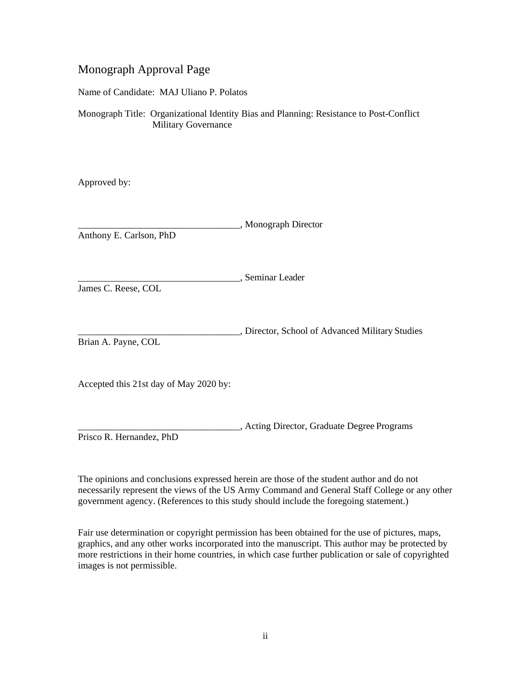## Monograph Approval Page

Name of Candidate: MAJ Uliano P. Polatos

Monograph Title: Organizational Identity Bias and Planning: Resistance to Post-Conflict Military Governance

Approved by:

|                         | , Monograph Director |
|-------------------------|----------------------|
| Anthony E. Carlson, PhD |                      |

\_\_\_\_\_\_\_\_\_\_\_\_\_\_\_\_\_\_\_\_\_\_\_\_\_\_\_\_\_\_\_\_\_\_, Seminar Leader

James C. Reese, COL

\_\_\_\_\_\_\_\_\_\_\_\_\_\_\_\_\_\_\_\_\_\_\_\_\_\_\_\_\_\_\_\_\_\_, Director, School of Advanced Military Studies Brian A. Payne, COL

Accepted this 21st day of May 2020 by:

\_\_\_\_\_\_\_\_\_\_\_\_\_\_\_\_\_\_\_\_\_\_\_\_\_\_\_\_\_\_\_\_\_\_, Acting Director, Graduate Degree Programs Prisco R. Hernandez, PhD

The opinions and conclusions expressed herein are those of the student author and do not necessarily represent the views of the US Army Command and General Staff College or any other government agency. (References to this study should include the foregoing statement.)

Fair use determination or copyright permission has been obtained for the use of pictures, maps, graphics, and any other works incorporated into the manuscript. This author may be protected by more restrictions in their home countries, in which case further publication or sale of copyrighted images is not permissible.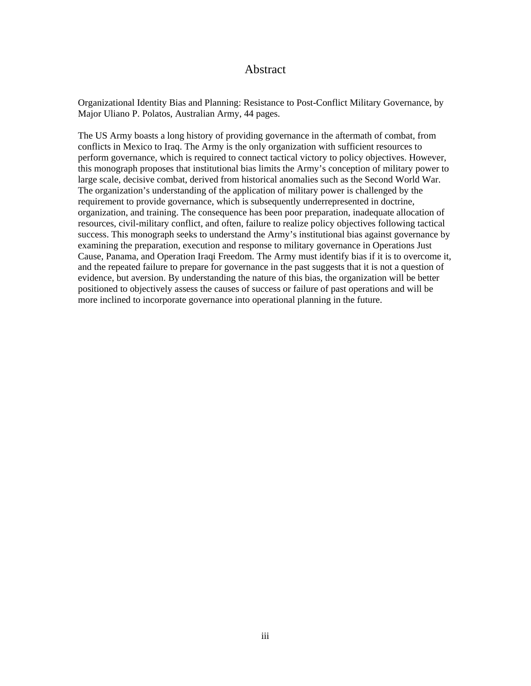### Abstract

Organizational Identity Bias and Planning: Resistance to Post-Conflict Military Governance, by Major Uliano P. Polatos, Australian Army, 44 pages.

The US Army boasts a long history of providing governance in the aftermath of combat, from conflicts in Mexico to Iraq. The Army is the only organization with sufficient resources to perform governance, which is required to connect tactical victory to policy objectives. However, this monograph proposes that institutional bias limits the Army's conception of military power to large scale, decisive combat, derived from historical anomalies such as the Second World War. The organization's understanding of the application of military power is challenged by the requirement to provide governance, which is subsequently underrepresented in doctrine, organization, and training. The consequence has been poor preparation, inadequate allocation of resources, civil-military conflict, and often, failure to realize policy objectives following tactical success. This monograph seeks to understand the Army's institutional bias against governance by examining the preparation, execution and response to military governance in Operations Just Cause, Panama, and Operation Iraqi Freedom. The Army must identify bias if it is to overcome it, and the repeated failure to prepare for governance in the past suggests that it is not a question of evidence, but aversion. By understanding the nature of this bias, the organization will be better positioned to objectively assess the causes of success or failure of past operations and will be more inclined to incorporate governance into operational planning in the future.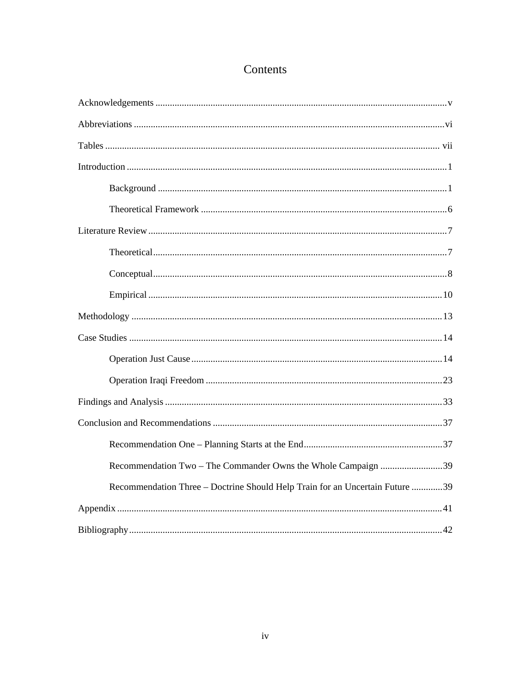## Contents

| Recommendation Two - The Commander Owns the Whole Campaign 39                |
|------------------------------------------------------------------------------|
| Recommendation Three - Doctrine Should Help Train for an Uncertain Future 39 |
|                                                                              |
|                                                                              |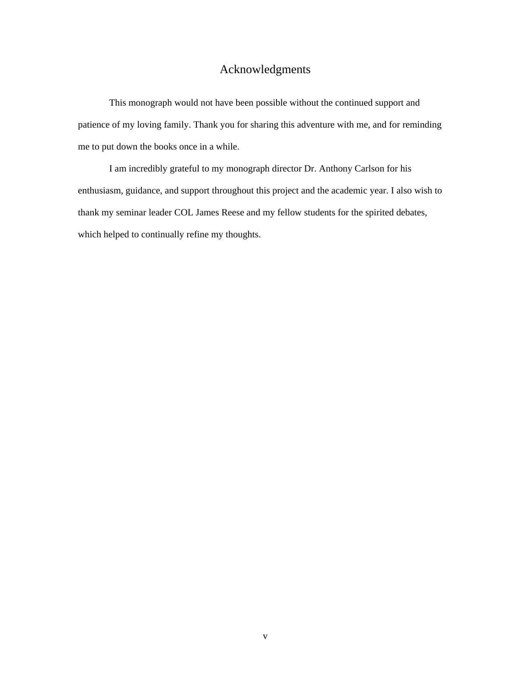## Acknowledgments

<span id="page-5-0"></span>This monograph would not have been possible without the continued support and patience of my loving family. Thank you for sharing this adventure with me, and for reminding me to put down the books once in a while.

I am incredibly grateful to my monograph director Dr. Anthony Carlson for his enthusiasm, guidance, and support throughout this project and the academic year. I also wish to thank my seminar leader COL James Reese and my fellow students for the spirited debates, which helped to continually refine my thoughts.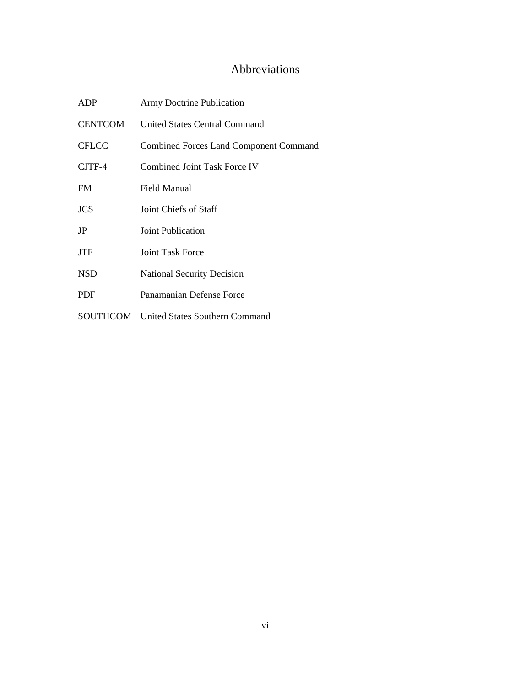## Abbreviations

<span id="page-6-0"></span>

| <b>ADP</b>     | <b>Army Doctrine Publication</b>               |
|----------------|------------------------------------------------|
| <b>CENTCOM</b> | <b>United States Central Command</b>           |
| <b>CFLCC</b>   | <b>Combined Forces Land Component Command</b>  |
| $CJTF-4$       | Combined Joint Task Force IV                   |
| <b>FM</b>      | Field Manual                                   |
| <b>JCS</b>     | Joint Chiefs of Staff                          |
| JP             | Joint Publication                              |
| <b>JTF</b>     | <b>Joint Task Force</b>                        |
| <b>NSD</b>     | <b>National Security Decision</b>              |
| <b>PDF</b>     | Panamanian Defense Force                       |
|                | <b>SOUTHCOM</b> United States Southern Command |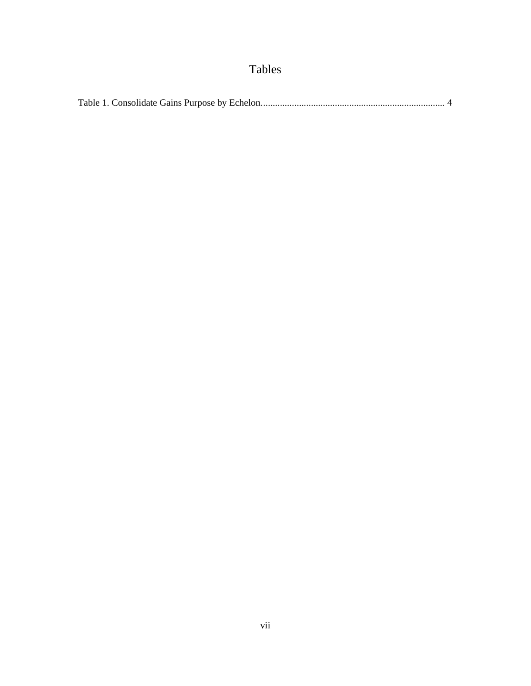# Tables

<span id="page-7-0"></span>

|--|--|--|--|--|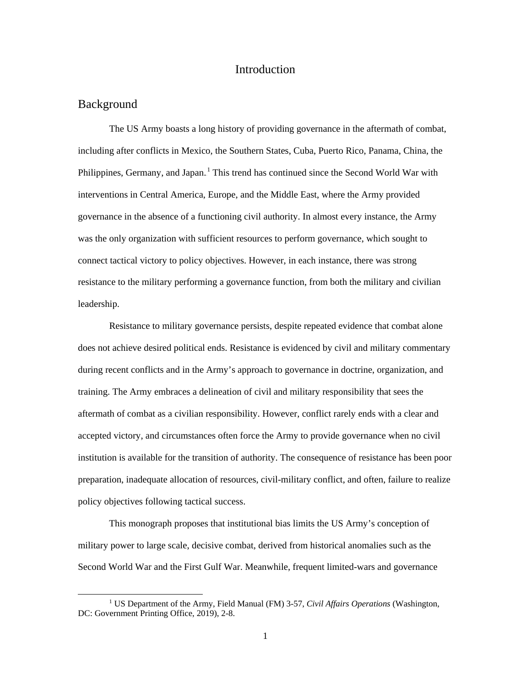## Introduction

#### <span id="page-8-1"></span><span id="page-8-0"></span>Background

The US Army boasts a long history of providing governance in the aftermath of combat, including after conflicts in Mexico, the Southern States, Cuba, Puerto Rico, Panama, China, the Philippines, Germany, and Japan.<sup>1</sup> This trend has continued since the Second World War with interventions in Central America, Europe, and the Middle East, where the Army provided governance in the absence of a functioning civil authority. In almost every instance, the Army was the only organization with sufficient resources to perform governance, which sought to connect tactical victory to policy objectives. However, in each instance, there was strong resistance to the military performing a governance function, from both the military and civilian leadership.

Resistance to military governance persists, despite repeated evidence that combat alone does not achieve desired political ends. Resistance is evidenced by civil and military commentary during recent conflicts and in the Army's approach to governance in doctrine, organization, and training. The Army embraces a delineation of civil and military responsibility that sees the aftermath of combat as a civilian responsibility. However, conflict rarely ends with a clear and accepted victory, and circumstances often force the Army to provide governance when no civil institution is available for the transition of authority. The consequence of resistance has been poor preparation, inadequate allocation of resources, civil-military conflict, and often, failure to realize policy objectives following tactical success.

This monograph proposes that institutional bias limits the US Army's conception of military power to large scale, decisive combat, derived from historical anomalies such as the Second World War and the First Gulf War. Meanwhile, frequent limited-wars and governance

 <sup>1</sup> US Department of the Army, Field Manual (FM) 3-57, *Civil Affairs Operations* (Washington, DC: Government Printing Office, 2019), 2-8.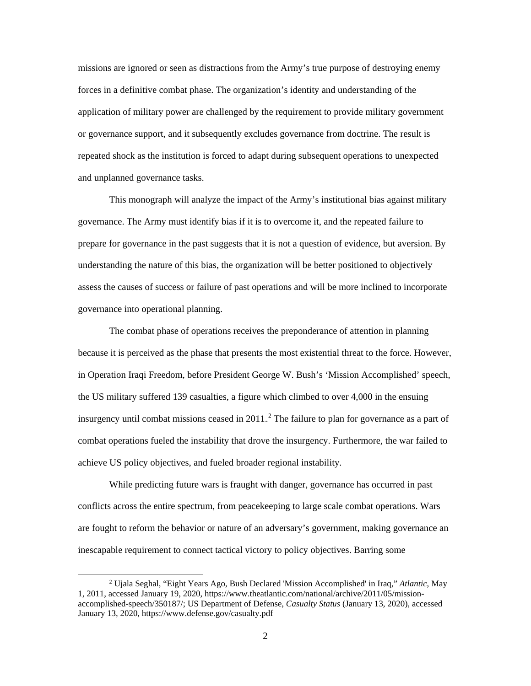missions are ignored or seen as distractions from the Army's true purpose of destroying enemy forces in a definitive combat phase. The organization's identity and understanding of the application of military power are challenged by the requirement to provide military government or governance support, and it subsequently excludes governance from doctrine. The result is repeated shock as the institution is forced to adapt during subsequent operations to unexpected and unplanned governance tasks.

This monograph will analyze the impact of the Army's institutional bias against military governance. The Army must identify bias if it is to overcome it, and the repeated failure to prepare for governance in the past suggests that it is not a question of evidence, but aversion. By understanding the nature of this bias, the organization will be better positioned to objectively assess the causes of success or failure of past operations and will be more inclined to incorporate governance into operational planning.

The combat phase of operations receives the preponderance of attention in planning because it is perceived as the phase that presents the most existential threat to the force. However, in Operation Iraqi Freedom, before President George W. Bush's 'Mission Accomplished' speech, the US military suffered 139 casualties, a figure which climbed to over 4,000 in the ensuing insurgency until combat missions ceased in  $2011$ .<sup>2</sup> The failure to plan for governance as a part of combat operations fueled the instability that drove the insurgency. Furthermore, the war failed to achieve US policy objectives, and fueled broader regional instability.

While predicting future wars is fraught with danger, governance has occurred in past conflicts across the entire spectrum, from peacekeeping to large scale combat operations. Wars are fought to reform the behavior or nature of an adversary's government, making governance an inescapable requirement to connect tactical victory to policy objectives. Barring some

 <sup>2</sup> Ujala Seghal, "Eight Years Ago, Bush Declared 'Mission Accomplished' in Iraq," *Atlantic*, May 1, 2011, accessed January 19, 2020, [https://www.theatlantic.com/national/archive/2011/05/mission](https://www.theatlantic.com/national/archive/2011/05/mission-accomplished-speech/350187/)[accomplished-speech/350187/;](https://www.theatlantic.com/national/archive/2011/05/mission-accomplished-speech/350187/) US Department of Defense, *Casualty Status* (January 13, 2020), accessed January 13, 2020[, https://www.defense.gov/casualty.pdf](https://www.defense.gov/casualty.pdf)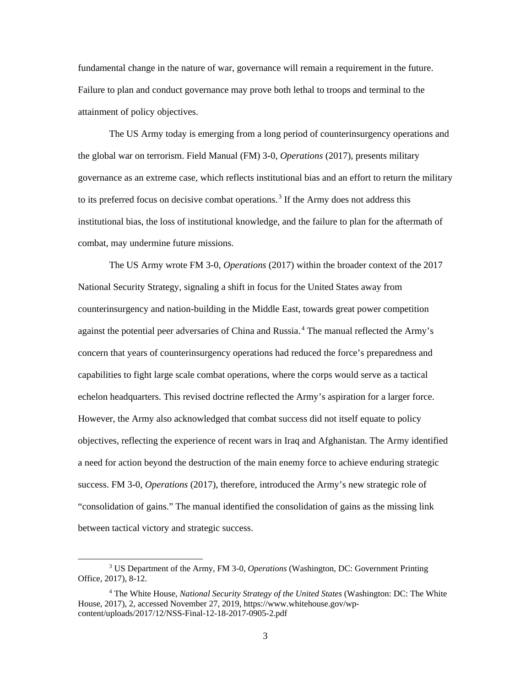fundamental change in the nature of war, governance will remain a requirement in the future. Failure to plan and conduct governance may prove both lethal to troops and terminal to the attainment of policy objectives.

The US Army today is emerging from a long period of counterinsurgency operations and the global war on terrorism. Field Manual (FM) 3-0, *Operations* (2017), presents military governance as an extreme case, which reflects institutional bias and an effort to return the military to its preferred focus on decisive combat operations.<sup>3</sup> If the Army does not address this institutional bias, the loss of institutional knowledge, and the failure to plan for the aftermath of combat, may undermine future missions.

The US Army wrote FM 3-0, *Operations* (2017) within the broader context of the 2017 National Security Strategy, signaling a shift in focus for the United States away from counterinsurgency and nation-building in the Middle East, towards great power competition against the potential peer adversaries of China and Russia.<sup>4</sup> The manual reflected the Army's concern that years of counterinsurgency operations had reduced the force's preparedness and capabilities to fight large scale combat operations, where the corps would serve as a tactical echelon headquarters. This revised doctrine reflected the Army's aspiration for a larger force. However, the Army also acknowledged that combat success did not itself equate to policy objectives, reflecting the experience of recent wars in Iraq and Afghanistan. The Army identified a need for action beyond the destruction of the main enemy force to achieve enduring strategic success. FM 3-0, *Operations* (2017), therefore, introduced the Army's new strategic role of "consolidation of gains." The manual identified the consolidation of gains as the missing link between tactical victory and strategic success.

 <sup>3</sup> US Department of the Army, FM 3-0, *Operations* (Washington, DC: Government Printing Office, 2017), 8-12.

<sup>4</sup> The White House, *National Security Strategy of the United States* (Washington: DC: The White House, 2017), 2, accessed November 27, 2019, https://www.whitehouse.gov/wpcontent/uploads/2017/12/NSS-Final-12-18-2017-0905-2.pdf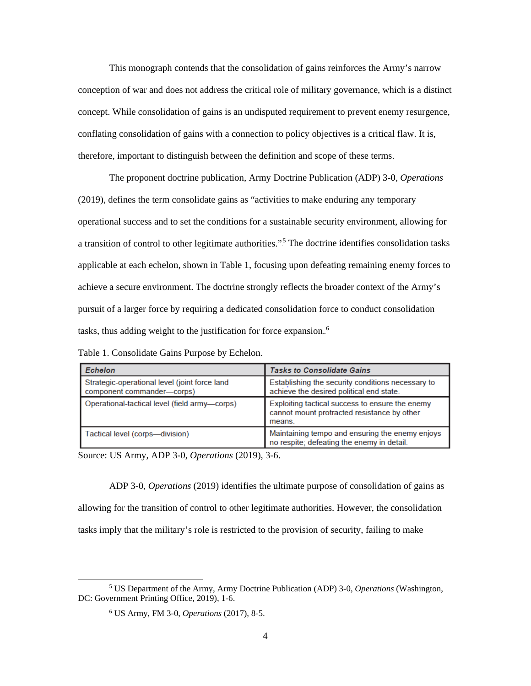This monograph contends that the consolidation of gains reinforces the Army's narrow conception of war and does not address the critical role of military governance, which is a distinct concept. While consolidation of gains is an undisputed requirement to prevent enemy resurgence, conflating consolidation of gains with a connection to policy objectives is a critical flaw. It is, therefore, important to distinguish between the definition and scope of these terms.

The proponent doctrine publication, Army Doctrine Publication (ADP) 3-0, *Operations* (2019), defines the term consolidate gains as "activities to make enduring any temporary operational success and to set the conditions for a sustainable security environment, allowing for a transition of control to other legitimate authorities."<sup>5</sup> The doctrine identifies consolidation tasks applicable at each echelon, shown in Table 1, focusing upon defeating remaining enemy forces to achieve a secure environment. The doctrine strongly reflects the broader context of the Army's pursuit of a larger force by requiring a dedicated consolidation force to conduct consolidation tasks, thus adding weight to the justification for force expansion.<sup>6</sup>

Table 1. Consolidate Gains Purpose by Echelon.

| Echelon                                                                     | <b>Tasks to Consolidate Gains</b>                                                                        |
|-----------------------------------------------------------------------------|----------------------------------------------------------------------------------------------------------|
| Strategic-operational level (joint force land<br>component commander-corps) | Establishing the security conditions necessary to<br>achieve the desired political end state.            |
| Operational-tactical level (field army-corps)                               | Exploiting tactical success to ensure the enemy<br>cannot mount protracted resistance by other<br>means. |
| Tactical level (corps—division)                                             | Maintaining tempo and ensuring the enemy enjoys<br>no respite; defeating the enemy in detail.            |

<span id="page-11-0"></span>Source: US Army, ADP 3-0, *Operations* (2019), 3-6.

ADP 3-0, *Operations* (2019) identifies the ultimate purpose of consolidation of gains as allowing for the transition of control to other legitimate authorities. However, the consolidation tasks imply that the military's role is restricted to the provision of security, failing to make

 <sup>5</sup> US Department of the Army, Army Doctrine Publication (ADP) 3-0, *Operations* (Washington, DC: Government Printing Office, 2019), 1-6.

<sup>6</sup> US Army, FM 3-0, *Operations* (2017), 8-5.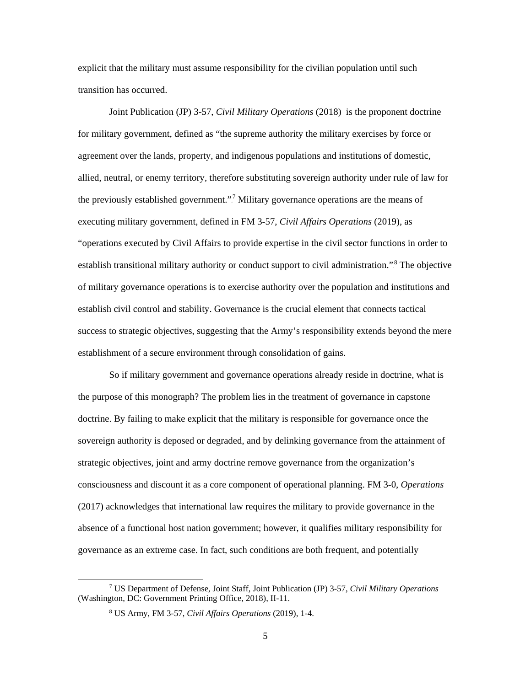explicit that the military must assume responsibility for the civilian population until such transition has occurred.

Joint Publication (JP) 3-57, *Civil Military Operations* (2018) is the proponent doctrine for military government, defined as "the supreme authority the military exercises by force or agreement over the lands, property, and indigenous populations and institutions of domestic, allied, neutral, or enemy territory, therefore substituting sovereign authority under rule of law for the previously established government."<sup>7</sup> Military governance operations are the means of executing military government, defined in FM 3-57, *Civil Affairs Operations* (2019), as "operations executed by Civil Affairs to provide expertise in the civil sector functions in order to establish transitional military authority or conduct support to civil administration."<sup>8</sup> The objective of military governance operations is to exercise authority over the population and institutions and establish civil control and stability. Governance is the crucial element that connects tactical success to strategic objectives, suggesting that the Army's responsibility extends beyond the mere establishment of a secure environment through consolidation of gains.

So if military government and governance operations already reside in doctrine, what is the purpose of this monograph? The problem lies in the treatment of governance in capstone doctrine. By failing to make explicit that the military is responsible for governance once the sovereign authority is deposed or degraded, and by delinking governance from the attainment of strategic objectives, joint and army doctrine remove governance from the organization's consciousness and discount it as a core component of operational planning. FM 3-0, *Operations* (2017) acknowledges that international law requires the military to provide governance in the absence of a functional host nation government; however, it qualifies military responsibility for governance as an extreme case. In fact, such conditions are both frequent, and potentially

 <sup>7</sup> US Department of Defense, Joint Staff, Joint Publication (JP) 3-57, *Civil Military Operations* (Washington, DC: Government Printing Office, 2018), II-11.

<sup>8</sup> US Army, FM 3-57, *Civil Affairs Operations* (2019), 1-4.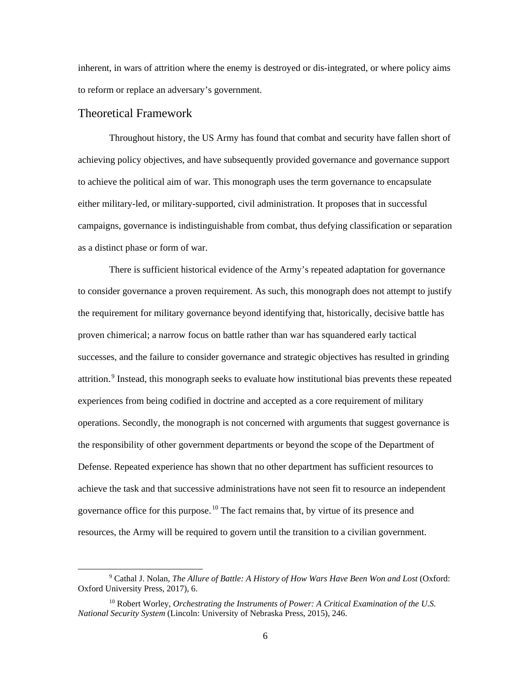inherent, in wars of attrition where the enemy is destroyed or dis-integrated, or where policy aims to reform or replace an adversary's government.

#### <span id="page-13-0"></span>Theoretical Framework

Throughout history, the US Army has found that combat and security have fallen short of achieving policy objectives, and have subsequently provided governance and governance support to achieve the political aim of war. This monograph uses the term governance to encapsulate either military-led, or military-supported, civil administration. It proposes that in successful campaigns, governance is indistinguishable from combat, thus defying classification or separation as a distinct phase or form of war.

There is sufficient historical evidence of the Army's repeated adaptation for governance to consider governance a proven requirement. As such, this monograph does not attempt to justify the requirement for military governance beyond identifying that, historically, decisive battle has proven chimerical; a narrow focus on battle rather than war has squandered early tactical successes, and the failure to consider governance and strategic objectives has resulted in grinding attrition.<sup>9</sup> Instead, this monograph seeks to evaluate how institutional bias prevents these repeated experiences from being codified in doctrine and accepted as a core requirement of military operations. Secondly, the monograph is not concerned with arguments that suggest governance is the responsibility of other government departments or beyond the scope of the Department of Defense. Repeated experience has shown that no other department has sufficient resources to achieve the task and that successive administrations have not seen fit to resource an independent governance office for this purpose.<sup>10</sup> The fact remains that, by virtue of its presence and resources, the Army will be required to govern until the transition to a civilian government.

 <sup>9</sup> Cathal J. Nolan, *The Allure of Battle: A History of How Wars Have Been Won and Lost* (Oxford: Oxford University Press, 2017), 6.

<sup>10</sup> Robert Worley, *Orchestrating the Instruments of Power: A Critical Examination of the U.S. National Security System* (Lincoln: University of Nebraska Press, 2015), 246.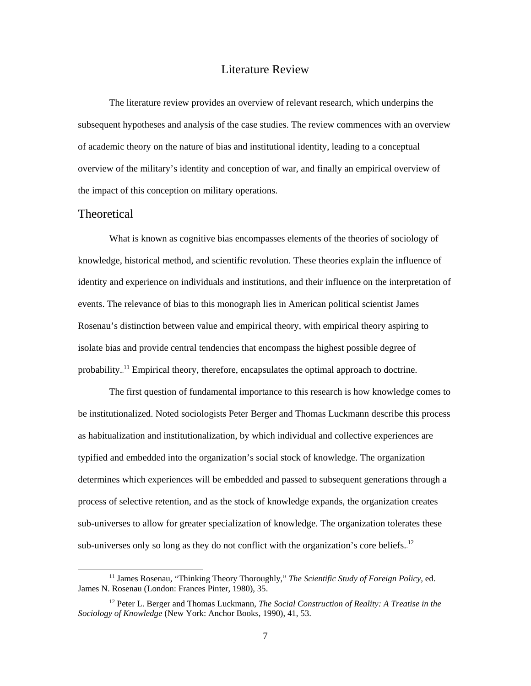#### Literature Review

<span id="page-14-0"></span>The literature review provides an overview of relevant research, which underpins the subsequent hypotheses and analysis of the case studies. The review commences with an overview of academic theory on the nature of bias and institutional identity, leading to a conceptual overview of the military's identity and conception of war, and finally an empirical overview of the impact of this conception on military operations.

#### <span id="page-14-1"></span>**Theoretical**

What is known as cognitive bias encompasses elements of the theories of sociology of knowledge, historical method, and scientific revolution. These theories explain the influence of identity and experience on individuals and institutions, and their influence on the interpretation of events. The relevance of bias to this monograph lies in American political scientist James Rosenau's distinction between value and empirical theory, with empirical theory aspiring to isolate bias and provide central tendencies that encompass the highest possible degree of probability.<sup>11</sup> Empirical theory, therefore, encapsulates the optimal approach to doctrine.

The first question of fundamental importance to this research is how knowledge comes to be institutionalized. Noted sociologists Peter Berger and Thomas Luckmann describe this process as habitualization and institutionalization, by which individual and collective experiences are typified and embedded into the organization's social stock of knowledge. The organization determines which experiences will be embedded and passed to subsequent generations through a process of selective retention, and as the stock of knowledge expands, the organization creates sub-universes to allow for greater specialization of knowledge. The organization tolerates these sub-universes only so long as they do not conflict with the organization's core beliefs.<sup>12</sup>

 <sup>11</sup> James Rosenau, "Thinking Theory Thoroughly," *The Scientific Study of Foreign Policy,* ed. James N. Rosenau (London: Frances Pinter, 1980), 35.

<sup>12</sup> Peter L. Berger and Thomas Luckmann, *The Social Construction of Reality: A Treatise in the Sociology of Knowledge* (New York: Anchor Books, 1990), 41, 53.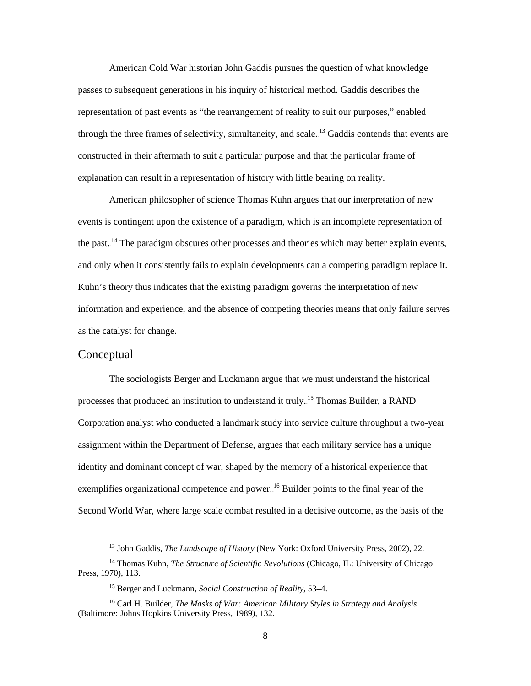American Cold War historian John Gaddis pursues the question of what knowledge passes to subsequent generations in his inquiry of historical method. Gaddis describes the representation of past events as "the rearrangement of reality to suit our purposes," enabled through the three frames of selectivity, simultaneity, and scale.<sup>13</sup> Gaddis contends that events are constructed in their aftermath to suit a particular purpose and that the particular frame of explanation can result in a representation of history with little bearing on reality.

American philosopher of science Thomas Kuhn argues that our interpretation of new events is contingent upon the existence of a paradigm, which is an incomplete representation of the past.<sup>14</sup> The paradigm obscures other processes and theories which may better explain events, and only when it consistently fails to explain developments can a competing paradigm replace it. Kuhn's theory thus indicates that the existing paradigm governs the interpretation of new information and experience, and the absence of competing theories means that only failure serves as the catalyst for change.

### <span id="page-15-0"></span>Conceptual

The sociologists Berger and Luckmann argue that we must understand the historical processes that produced an institution to understand it truly.<sup>15</sup> Thomas Builder, a RAND Corporation analyst who conducted a landmark study into service culture throughout a two-year assignment within the Department of Defense, argues that each military service has a unique identity and dominant concept of war, shaped by the memory of a historical experience that exemplifies organizational competence and power.<sup>16</sup> Builder points to the final year of the Second World War, where large scale combat resulted in a decisive outcome, as the basis of the

 <sup>13</sup> John Gaddis, *The Landscape of History* (New York: Oxford University Press, 2002), 22.

<sup>14</sup> Thomas Kuhn, *The Structure of Scientific Revolutions* (Chicago, IL: University of Chicago Press, 1970), 113.

<sup>15</sup> Berger and Luckmann, *Social Construction of Reality*, 53–4.

<sup>16</sup> Carl H. Builder, *The Masks of War: American Military Styles in Strategy and Analysis* (Baltimore: Johns Hopkins University Press, 1989), 132.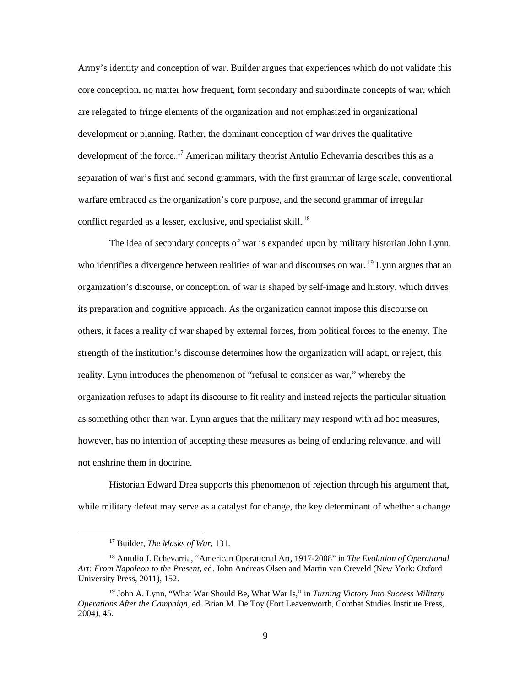Army's identity and conception of war. Builder argues that experiences which do not validate this core conception, no matter how frequent, form secondary and subordinate concepts of war, which are relegated to fringe elements of the organization and not emphasized in organizational development or planning. Rather, the dominant conception of war drives the qualitative development of the force.<sup>17</sup> American military theorist Antulio Echevarria describes this as a separation of war's first and second grammars, with the first grammar of large scale, conventional warfare embraced as the organization's core purpose, and the second grammar of irregular conflict regarded as a lesser, exclusive, and specialist skill.<sup>18</sup>

The idea of secondary concepts of war is expanded upon by military historian John Lynn, who identifies a divergence between realities of war and discourses on war.<sup>19</sup> Lynn argues that an organization's discourse, or conception, of war is shaped by self-image and history, which drives its preparation and cognitive approach. As the organization cannot impose this discourse on others, it faces a reality of war shaped by external forces, from political forces to the enemy. The strength of the institution's discourse determines how the organization will adapt, or reject, this reality. Lynn introduces the phenomenon of "refusal to consider as war," whereby the organization refuses to adapt its discourse to fit reality and instead rejects the particular situation as something other than war. Lynn argues that the military may respond with ad hoc measures, however, has no intention of accepting these measures as being of enduring relevance, and will not enshrine them in doctrine.

Historian Edward Drea supports this phenomenon of rejection through his argument that, while military defeat may serve as a catalyst for change, the key determinant of whether a change

 <sup>17</sup> Builder, *The Masks of War*, 131.

<sup>18</sup> Antulio J. Echevarria, "American Operational Art, 1917-2008" in *The Evolution of Operational Art: From Napoleon to the Present*, ed. John Andreas Olsen and Martin van Creveld (New York: Oxford University Press, 2011), 152.

<sup>19</sup> John A. Lynn, "What War Should Be, What War Is," in *Turning Victory Into Success Military Operations After the Campaign*, ed. Brian M. De Toy (Fort Leavenworth, Combat Studies Institute Press, 2004), 45.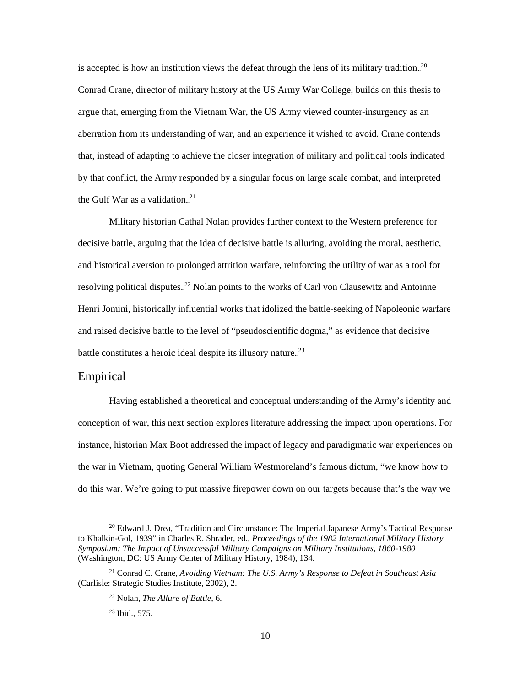is accepted is how an institution views the defeat through the lens of its military tradition.<sup>20</sup> Conrad Crane, director of military history at the US Army War College, builds on this thesis to argue that, emerging from the Vietnam War, the US Army viewed counter-insurgency as an aberration from its understanding of war, and an experience it wished to avoid. Crane contends that, instead of adapting to achieve the closer integration of military and political tools indicated by that conflict, the Army responded by a singular focus on large scale combat, and interpreted the Gulf War as a validation.<sup>21</sup>

Military historian Cathal Nolan provides further context to the Western preference for decisive battle, arguing that the idea of decisive battle is alluring, avoiding the moral, aesthetic, and historical aversion to prolonged attrition warfare, reinforcing the utility of war as a tool for resolving political disputes.<sup>22</sup> Nolan points to the works of Carl von Clausewitz and Antoinne Henri Jomini, historically influential works that idolized the battle-seeking of Napoleonic warfare and raised decisive battle to the level of "pseudoscientific dogma," as evidence that decisive battle constitutes a heroic ideal despite its illusory nature.<sup>23</sup>

#### <span id="page-17-0"></span>Empirical

Having established a theoretical and conceptual understanding of the Army's identity and conception of war, this next section explores literature addressing the impact upon operations. For instance, historian Max Boot addressed the impact of legacy and paradigmatic war experiences on the war in Vietnam, quoting General William Westmoreland's famous dictum, "we know how to do this war. We're going to put massive firepower down on our targets because that's the way we

 $20$  Edward J. Drea, "Tradition and Circumstance: The Imperial Japanese Army's Tactical Response to Khalkin-Gol, 1939" in Charles R. Shrader, ed., *Proceedings of the 1982 International Military History Symposium: The Impact of Unsuccessful Military Campaigns on Military Institutions, 1860-1980* (Washington, DC: US Army Center of Military History, 1984), 134.

<sup>21</sup> Conrad C. Crane, *Avoiding Vietnam: The U.S. Army's Response to Defeat in Southeast Asia* (Carlisle: Strategic Studies Institute, 2002), 2.

<sup>22</sup> Nolan, *The Allure of Battle*, 6.

<sup>23</sup> Ibid., 575.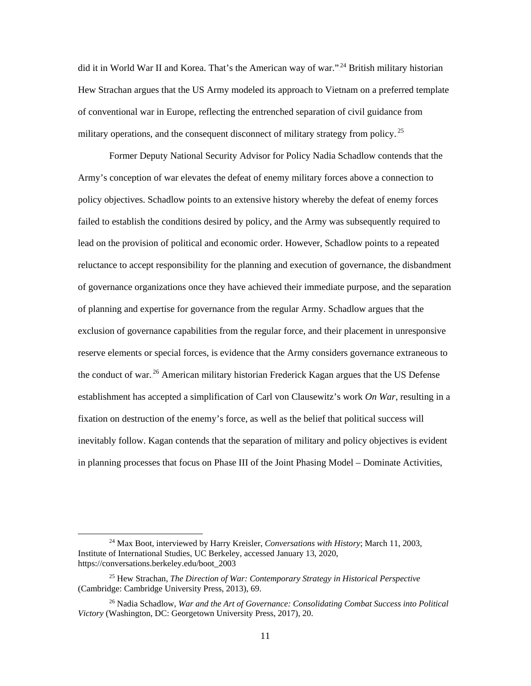did it in World War II and Korea. That's the American way of war."<sup>24</sup> British military historian Hew Strachan argues that the US Army modeled its approach to Vietnam on a preferred template of conventional war in Europe, reflecting the entrenched separation of civil guidance from military operations, and the consequent disconnect of military strategy from policy.<sup>25</sup>

Former Deputy National Security Advisor for Policy Nadia Schadlow contends that the Army's conception of war elevates the defeat of enemy military forces above a connection to policy objectives. Schadlow points to an extensive history whereby the defeat of enemy forces failed to establish the conditions desired by policy, and the Army was subsequently required to lead on the provision of political and economic order. However, Schadlow points to a repeated reluctance to accept responsibility for the planning and execution of governance, the disbandment of governance organizations once they have achieved their immediate purpose, and the separation of planning and expertise for governance from the regular Army. Schadlow argues that the exclusion of governance capabilities from the regular force, and their placement in unresponsive reserve elements or special forces, is evidence that the Army considers governance extraneous to the conduct of war.<sup>26</sup> American military historian Frederick Kagan argues that the US Defense establishment has accepted a simplification of Carl von Clausewitz's work *On War,* resulting in a fixation on destruction of the enemy's force, as well as the belief that political success will inevitably follow. Kagan contends that the separation of military and policy objectives is evident in planning processes that focus on Phase III of the Joint Phasing Model – Dominate Activities,

 <sup>24</sup> Max Boot, interviewed by Harry Kreisler, *Conversations with History*; March 11, 2003, Institute of International Studies, UC Berkeley, accessed January 13, 2020, https://conversations.berkeley.edu/boot\_2003

<sup>25</sup> Hew Strachan, *The Direction of War: Contemporary Strategy in Historical Perspective* (Cambridge: Cambridge University Press, 2013), 69.

<sup>26</sup> Nadia Schadlow, *War and the Art of Governance: Consolidating Combat Success into Political Victory* (Washington, DC: Georgetown University Press, 2017), 20.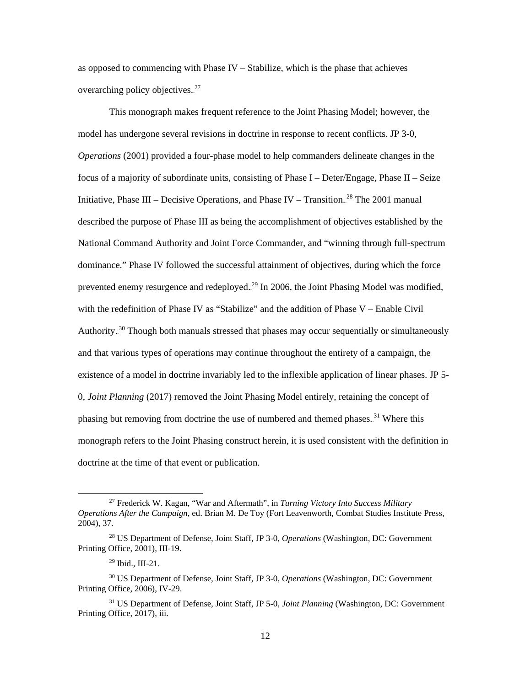as opposed to commencing with Phase IV – Stabilize, which is the phase that achieves overarching policy objectives. $27$ 

This monograph makes frequent reference to the Joint Phasing Model; however, the model has undergone several revisions in doctrine in response to recent conflicts. JP 3-0, *Operations* (2001) provided a four-phase model to help commanders delineate changes in the focus of a majority of subordinate units, consisting of Phase I – Deter/Engage, Phase II – Seize Initiative, Phase III – Decisive Operations, and Phase IV – Transition.<sup>28</sup> The 2001 manual described the purpose of Phase III as being the accomplishment of objectives established by the National Command Authority and Joint Force Commander, and "winning through full-spectrum dominance." Phase IV followed the successful attainment of objectives, during which the force prevented enemy resurgence and redeployed.<sup>29</sup> In 2006, the Joint Phasing Model was modified, with the redefinition of Phase IV as "Stabilize" and the addition of Phase V – Enable Civil Authority.<sup>30</sup> Though both manuals stressed that phases may occur sequentially or simultaneously and that various types of operations may continue throughout the entirety of a campaign, the existence of a model in doctrine invariably led to the inflexible application of linear phases. JP 5- 0, *Joint Planning* (2017) removed the Joint Phasing Model entirely, retaining the concept of phasing but removing from doctrine the use of numbered and themed phases.<sup>31</sup> Where this monograph refers to the Joint Phasing construct herein, it is used consistent with the definition in doctrine at the time of that event or publication.

 <sup>27</sup> Frederick W. Kagan, "War and Aftermath", in *Turning Victory Into Success Military Operations After the Campaign*, ed. Brian M. De Toy (Fort Leavenworth, Combat Studies Institute Press, 2004), 37.

<sup>28</sup> US Department of Defense, Joint Staff, JP 3-0, *Operations* (Washington, DC: Government Printing Office, 2001), III-19.

<sup>29</sup> Ibid., III-21.

<sup>30</sup> US Department of Defense, Joint Staff, JP 3-0, *Operations* (Washington, DC: Government Printing Office, 2006), IV-29.

<sup>31</sup> US Department of Defense, Joint Staff, JP 5-0, *Joint Planning* (Washington, DC: Government Printing Office, 2017), iii.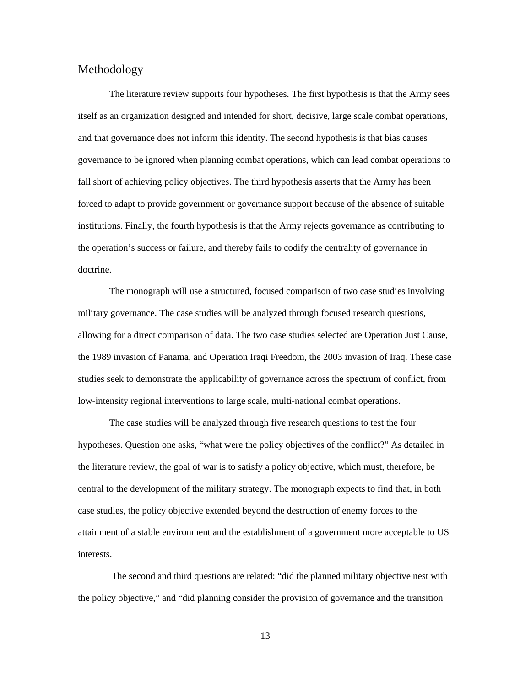### <span id="page-20-0"></span>Methodology

The literature review supports four hypotheses. The first hypothesis is that the Army sees itself as an organization designed and intended for short, decisive, large scale combat operations, and that governance does not inform this identity. The second hypothesis is that bias causes governance to be ignored when planning combat operations, which can lead combat operations to fall short of achieving policy objectives. The third hypothesis asserts that the Army has been forced to adapt to provide government or governance support because of the absence of suitable institutions. Finally, the fourth hypothesis is that the Army rejects governance as contributing to the operation's success or failure, and thereby fails to codify the centrality of governance in doctrine.

The monograph will use a structured, focused comparison of two case studies involving military governance. The case studies will be analyzed through focused research questions, allowing for a direct comparison of data. The two case studies selected are Operation Just Cause, the 1989 invasion of Panama, and Operation Iraqi Freedom, the 2003 invasion of Iraq. These case studies seek to demonstrate the applicability of governance across the spectrum of conflict, from low-intensity regional interventions to large scale, multi-national combat operations.

The case studies will be analyzed through five research questions to test the four hypotheses. Question one asks, "what were the policy objectives of the conflict?" As detailed in the literature review, the goal of war is to satisfy a policy objective, which must, therefore, be central to the development of the military strategy. The monograph expects to find that, in both case studies, the policy objective extended beyond the destruction of enemy forces to the attainment of a stable environment and the establishment of a government more acceptable to US interests.

The second and third questions are related: "did the planned military objective nest with the policy objective," and "did planning consider the provision of governance and the transition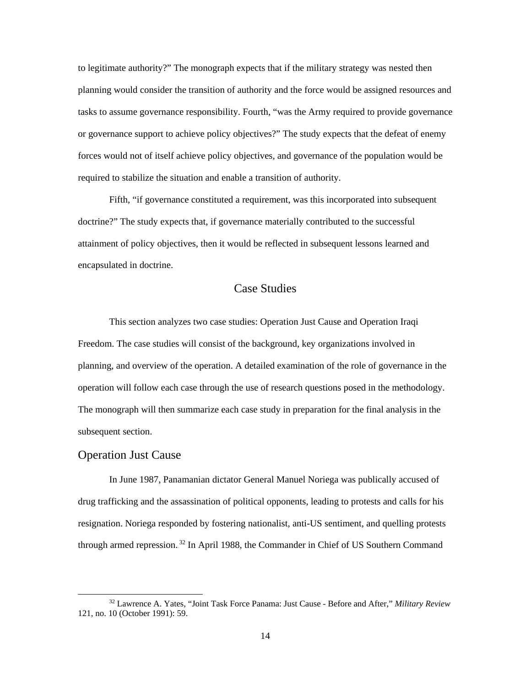to legitimate authority?" The monograph expects that if the military strategy was nested then planning would consider the transition of authority and the force would be assigned resources and tasks to assume governance responsibility. Fourth, "was the Army required to provide governance or governance support to achieve policy objectives?" The study expects that the defeat of enemy forces would not of itself achieve policy objectives, and governance of the population would be required to stabilize the situation and enable a transition of authority.

Fifth, "if governance constituted a requirement, was this incorporated into subsequent doctrine?" The study expects that, if governance materially contributed to the successful attainment of policy objectives, then it would be reflected in subsequent lessons learned and encapsulated in doctrine.

## Case Studies

<span id="page-21-0"></span>This section analyzes two case studies: Operation Just Cause and Operation Iraqi Freedom. The case studies will consist of the background, key organizations involved in planning, and overview of the operation. A detailed examination of the role of governance in the operation will follow each case through the use of research questions posed in the methodology. The monograph will then summarize each case study in preparation for the final analysis in the subsequent section.

#### <span id="page-21-1"></span>Operation Just Cause

In June 1987, Panamanian dictator General Manuel Noriega was publically accused of drug trafficking and the assassination of political opponents, leading to protests and calls for his resignation. Noriega responded by fostering nationalist, anti-US sentiment, and quelling protests through armed repression.<sup>32</sup> In April 1988, the Commander in Chief of US Southern Command

 <sup>32</sup> Lawrence A. Yates, "Joint Task Force Panama: Just Cause - Before and After," *Military Review* 121, no. 10 (October 1991): 59.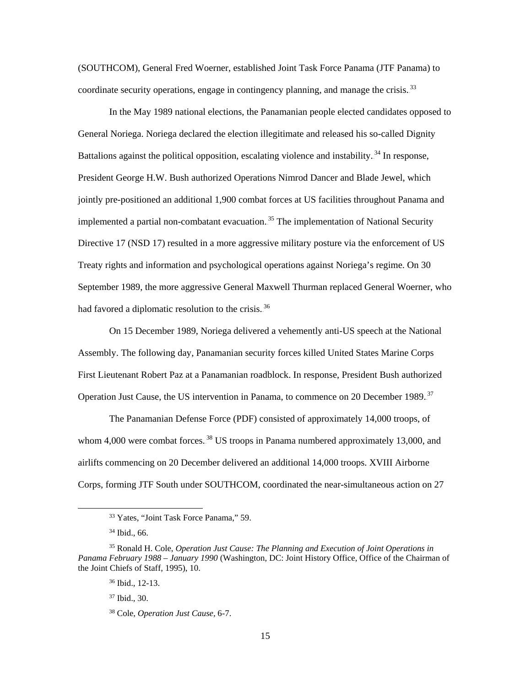(SOUTHCOM), General Fred Woerner, established Joint Task Force Panama (JTF Panama) to coordinate security operations, engage in contingency planning, and manage the crisis. $33$ 

In the May 1989 national elections, the Panamanian people elected candidates opposed to General Noriega. Noriega declared the election illegitimate and released his so-called Dignity Battalions against the political opposition, escalating violence and instability.<sup>34</sup> In response, President George H.W. Bush authorized Operations Nimrod Dancer and Blade Jewel, which jointly pre-positioned an additional 1,900 combat forces at US facilities throughout Panama and implemented a partial non-combatant evacuation.<sup>35</sup> The implementation of National Security Directive 17 (NSD 17) resulted in a more aggressive military posture via the enforcement of US Treaty rights and information and psychological operations against Noriega's regime. On 30 September 1989, the more aggressive General Maxwell Thurman replaced General Woerner, who had favored a diplomatic resolution to the crisis.<sup>36</sup>

On 15 December 1989, Noriega delivered a vehemently anti-US speech at the National Assembly. The following day, Panamanian security forces killed United States Marine Corps First Lieutenant Robert Paz at a Panamanian roadblock. In response, President Bush authorized Operation Just Cause, the US intervention in Panama, to commence on 20 December 1989.<sup>37</sup>

The Panamanian Defense Force (PDF) consisted of approximately 14,000 troops, of whom 4,000 were combat forces.<sup>38</sup> US troops in Panama numbered approximately 13,000, and airlifts commencing on 20 December delivered an additional 14,000 troops. XVIII Airborne Corps, forming JTF South under SOUTHCOM, coordinated the near-simultaneous action on 27

 <sup>33</sup> Yates, "Joint Task Force Panama," 59.

<sup>34</sup> Ibid., 66.

<sup>35</sup> Ronald H. Cole, *Operation Just Cause: The Planning and Execution of Joint Operations in Panama February 1988 – January 1990* (Washington, DC: Joint History Office, Office of the Chairman of the Joint Chiefs of Staff, 1995), 10.

<sup>36</sup> Ibid., 12-13.

<sup>37</sup> Ibid., 30.

<sup>38</sup> Cole, *Operation Just Cause,* 6-7.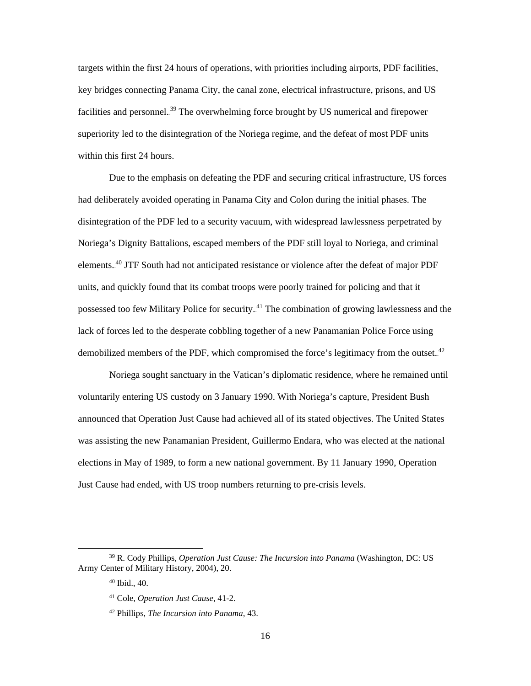targets within the first 24 hours of operations, with priorities including airports, PDF facilities, key bridges connecting Panama City, the canal zone, electrical infrastructure, prisons, and US facilities and personnel.<sup>39</sup> The overwhelming force brought by US numerical and firepower superiority led to the disintegration of the Noriega regime, and the defeat of most PDF units within this first 24 hours.

Due to the emphasis on defeating the PDF and securing critical infrastructure, US forces had deliberately avoided operating in Panama City and Colon during the initial phases. The disintegration of the PDF led to a security vacuum, with widespread lawlessness perpetrated by Noriega's Dignity Battalions, escaped members of the PDF still loyal to Noriega, and criminal elements.<sup>40</sup> JTF South had not anticipated resistance or violence after the defeat of major PDF units, and quickly found that its combat troops were poorly trained for policing and that it possessed too few Military Police for security.<sup>41</sup> The combination of growing lawlessness and the lack of forces led to the desperate cobbling together of a new Panamanian Police Force using demobilized members of the PDF, which compromised the force's legitimacy from the outset. $42$ 

Noriega sought sanctuary in the Vatican's diplomatic residence, where he remained until voluntarily entering US custody on 3 January 1990. With Noriega's capture, President Bush announced that Operation Just Cause had achieved all of its stated objectives. The United States was assisting the new Panamanian President, Guillermo Endara, who was elected at the national elections in May of 1989, to form a new national government. By 11 January 1990, Operation Just Cause had ended, with US troop numbers returning to pre-crisis levels.

 <sup>39</sup> R. Cody Phillips, *Operation Just Cause: The Incursion into Panama* (Washington, DC: US Army Center of Military History, 2004), 20.

 $40$  Ibid.,  $40$ .

<sup>41</sup> Cole, *Operation Just Cause*, 41-2.

<sup>42</sup> Phillips, *The Incursion into Panama*, 43.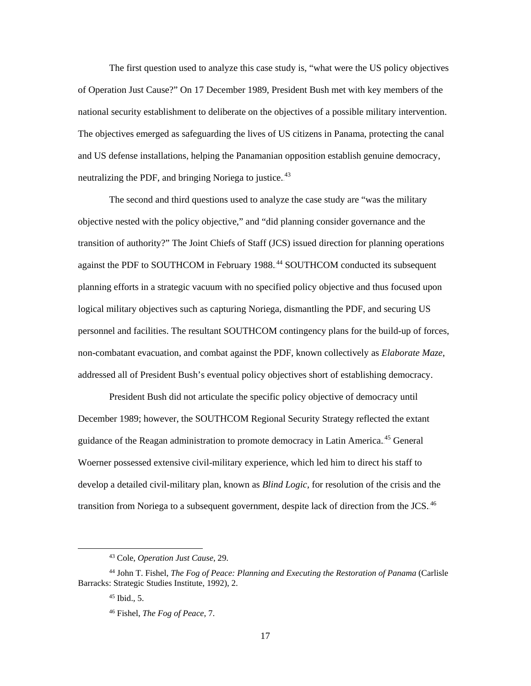The first question used to analyze this case study is, "what were the US policy objectives of Operation Just Cause?" On 17 December 1989, President Bush met with key members of the national security establishment to deliberate on the objectives of a possible military intervention. The objectives emerged as safeguarding the lives of US citizens in Panama, protecting the canal and US defense installations, helping the Panamanian opposition establish genuine democracy, neutralizing the PDF, and bringing Noriega to justice.<sup>43</sup>

The second and third questions used to analyze the case study are "was the military objective nested with the policy objective," and "did planning consider governance and the transition of authority?" The Joint Chiefs of Staff (JCS) issued direction for planning operations against the PDF to SOUTHCOM in February 1988.<sup>44</sup> SOUTHCOM conducted its subsequent planning efforts in a strategic vacuum with no specified policy objective and thus focused upon logical military objectives such as capturing Noriega, dismantling the PDF, and securing US personnel and facilities. The resultant SOUTHCOM contingency plans for the build-up of forces, non-combatant evacuation, and combat against the PDF, known collectively as *Elaborate Maze*, addressed all of President Bush's eventual policy objectives short of establishing democracy.

President Bush did not articulate the specific policy objective of democracy until December 1989; however, the SOUTHCOM Regional Security Strategy reflected the extant guidance of the Reagan administration to promote democracy in Latin America.<sup>45</sup> General Woerner possessed extensive civil-military experience, which led him to direct his staff to develop a detailed civil-military plan, known as *Blind Logic,* for resolution of the crisis and the transition from Noriega to a subsequent government, despite lack of direction from the JCS.<sup>46</sup>

 <sup>43</sup> Cole, *Operation Just Cause*, 29.

<sup>44</sup> John T. Fishel, *The Fog of Peace: Planning and Executing the Restoration of Panama* (Carlisle Barracks: Strategic Studies Institute, 1992), 2.

 $45$  Ibid., 5.

<sup>46</sup> Fishel, *The Fog of Peace*, 7.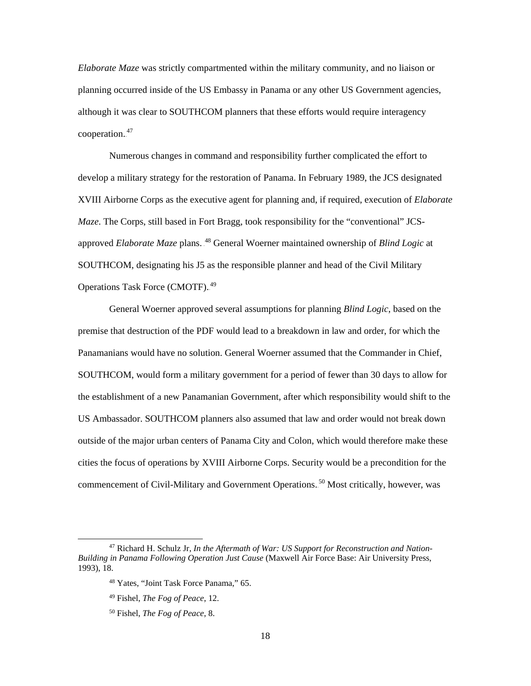*Elaborate Maze* was strictly compartmented within the military community, and no liaison or planning occurred inside of the US Embassy in Panama or any other US Government agencies, although it was clear to SOUTHCOM planners that these efforts would require interagency cooperation.<sup>47</sup>

Numerous changes in command and responsibility further complicated the effort to develop a military strategy for the restoration of Panama. In February 1989, the JCS designated XVIII Airborne Corps as the executive agent for planning and, if required, execution of *Elaborate Maze*. The Corps, still based in Fort Bragg, took responsibility for the "conventional" JCSapproved *Elaborate Maze* plans.<sup>48</sup> General Woerner maintained ownership of *Blind Logic* at SOUTHCOM, designating his J5 as the responsible planner and head of the Civil Military Operations Task Force (CMOTF).<sup>49</sup>

General Woerner approved several assumptions for planning *Blind Logic*, based on the premise that destruction of the PDF would lead to a breakdown in law and order, for which the Panamanians would have no solution. General Woerner assumed that the Commander in Chief, SOUTHCOM, would form a military government for a period of fewer than 30 days to allow for the establishment of a new Panamanian Government, after which responsibility would shift to the US Ambassador. SOUTHCOM planners also assumed that law and order would not break down outside of the major urban centers of Panama City and Colon, which would therefore make these cities the focus of operations by XVIII Airborne Corps. Security would be a precondition for the commencement of Civil-Military and Government Operations.<sup>50</sup> Most critically, however, was

 <sup>47</sup> Richard H. Schulz Jr, *In the Aftermath of War: US Support for Reconstruction and Nation-Building in Panama Following Operation Just Cause* (Maxwell Air Force Base: Air University Press, 1993), 18.

<sup>48</sup> Yates, "Joint Task Force Panama," 65.

<sup>49</sup> Fishel, *The Fog of Peace*, 12.

<sup>50</sup> Fishel, *The Fog of Peace*, 8.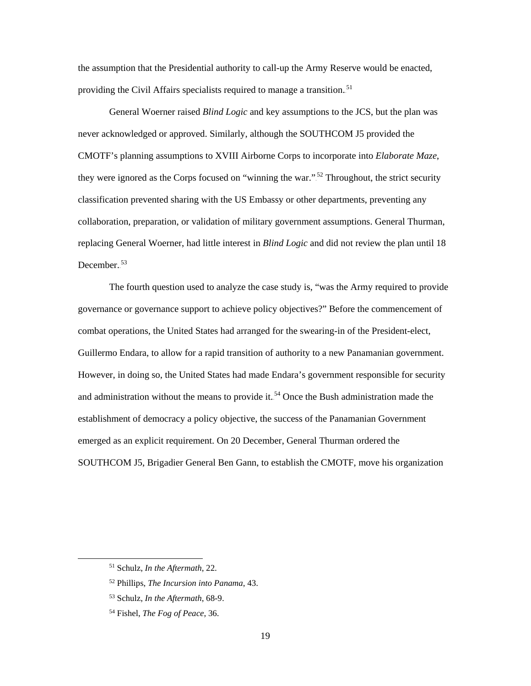the assumption that the Presidential authority to call-up the Army Reserve would be enacted, providing the Civil Affairs specialists required to manage a transition.<sup>51</sup>

General Woerner raised *Blind Logic* and key assumptions to the JCS, but the plan was never acknowledged or approved. Similarly, although the SOUTHCOM J5 provided the CMOTF's planning assumptions to XVIII Airborne Corps to incorporate into *Elaborate Maze*, they were ignored as the Corps focused on "winning the war."<sup>52</sup> Throughout, the strict security classification prevented sharing with the US Embassy or other departments, preventing any collaboration, preparation, or validation of military government assumptions. General Thurman, replacing General Woerner, had little interest in *Blind Logic* and did not review the plan until 18 December.<sup>53</sup>

The fourth question used to analyze the case study is, "was the Army required to provide governance or governance support to achieve policy objectives?" Before the commencement of combat operations, the United States had arranged for the swearing-in of the President-elect, Guillermo Endara, to allow for a rapid transition of authority to a new Panamanian government. However, in doing so, the United States had made Endara's government responsible for security and administration without the means to provide it.<sup>54</sup> Once the Bush administration made the establishment of democracy a policy objective, the success of the Panamanian Government emerged as an explicit requirement. On 20 December, General Thurman ordered the SOUTHCOM J5, Brigadier General Ben Gann, to establish the CMOTF, move his organization

 <sup>51</sup> Schulz, *In the Aftermath*, 22.

<sup>52</sup> Phillips, *The Incursion into Panama*, 43.

<sup>53</sup> Schulz, *In the Aftermath*, 68-9.

<sup>54</sup> Fishel, *The Fog of Peace*, 36.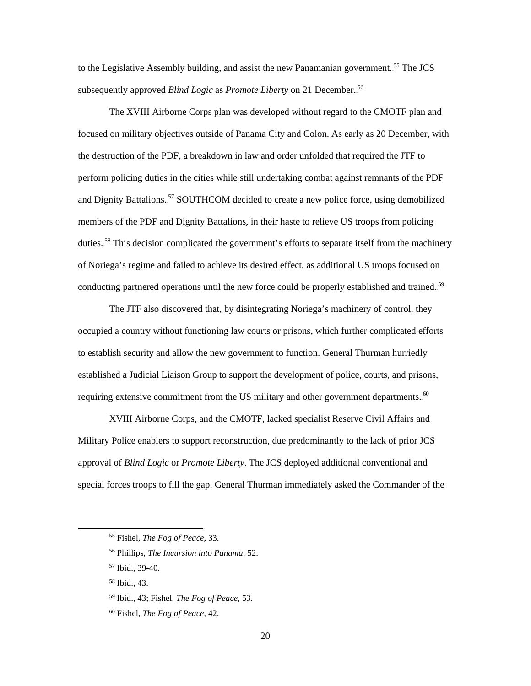to the Legislative Assembly building, and assist the new Panamanian government.<sup>55</sup> The JCS subsequently approved *Blind Logic* as *Promote Liberty* on 21 December.<sup>56</sup>

The XVIII Airborne Corps plan was developed without regard to the CMOTF plan and focused on military objectives outside of Panama City and Colon. As early as 20 December, with the destruction of the PDF, a breakdown in law and order unfolded that required the JTF to perform policing duties in the cities while still undertaking combat against remnants of the PDF and Dignity Battalions.<sup>57</sup> SOUTHCOM decided to create a new police force, using demobilized members of the PDF and Dignity Battalions, in their haste to relieve US troops from policing duties.<sup>58</sup> This decision complicated the government's efforts to separate itself from the machinery of Noriega's regime and failed to achieve its desired effect, as additional US troops focused on conducting partnered operations until the new force could be properly established and trained.<sup>59</sup>

The JTF also discovered that, by disintegrating Noriega's machinery of control, they occupied a country without functioning law courts or prisons, which further complicated efforts to establish security and allow the new government to function. General Thurman hurriedly established a Judicial Liaison Group to support the development of police, courts, and prisons, requiring extensive commitment from the US military and other government departments.<sup>60</sup>

XVIII Airborne Corps, and the CMOTF, lacked specialist Reserve Civil Affairs and Military Police enablers to support reconstruction, due predominantly to the lack of prior JCS approval of *Blind Logic* or *Promote Liberty*. The JCS deployed additional conventional and special forces troops to fill the gap. General Thurman immediately asked the Commander of the

 <sup>55</sup> Fishel, *The Fog of Peace*, 33.

<sup>56</sup> Phillips, *The Incursion into Panama*, 52.

<sup>57</sup> Ibid., 39-40.

<sup>58</sup> Ibid., 43.

<sup>59</sup> Ibid., 43; Fishel, *The Fog of Peace*, 53.

<sup>60</sup> Fishel, *The Fog of Peace*, 42.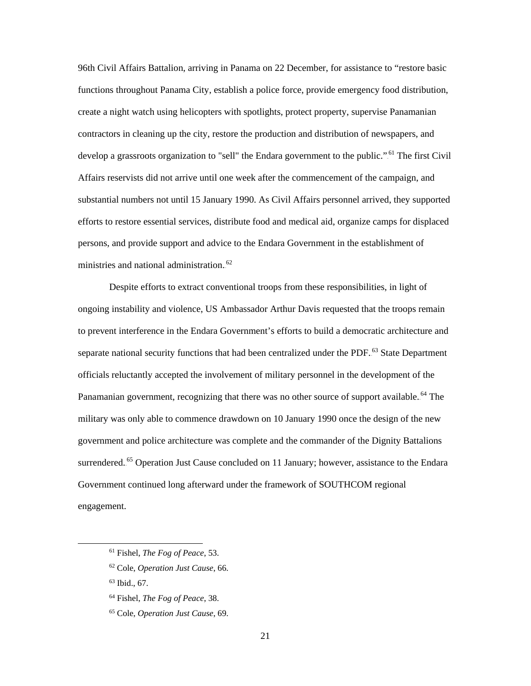96th Civil Affairs Battalion, arriving in Panama on 22 December, for assistance to "restore basic functions throughout Panama City, establish a police force, provide emergency food distribution, create a night watch using helicopters with spotlights, protect property, supervise Panamanian contractors in cleaning up the city, restore the production and distribution of newspapers, and develop a grassroots organization to "sell" the Endara government to the public."<sup>61</sup> The first Civil Affairs reservists did not arrive until one week after the commencement of the campaign, and substantial numbers not until 15 January 1990. As Civil Affairs personnel arrived, they supported efforts to restore essential services, distribute food and medical aid, organize camps for displaced persons, and provide support and advice to the Endara Government in the establishment of ministries and national administration.<sup>62</sup>

Despite efforts to extract conventional troops from these responsibilities, in light of ongoing instability and violence, US Ambassador Arthur Davis requested that the troops remain to prevent interference in the Endara Government's efforts to build a democratic architecture and separate national security functions that had been centralized under the PDF.<sup>63</sup> State Department officials reluctantly accepted the involvement of military personnel in the development of the Panamanian government, recognizing that there was no other source of support available.<sup>64</sup> The military was only able to commence drawdown on 10 January 1990 once the design of the new government and police architecture was complete and the commander of the Dignity Battalions surrendered.<sup>65</sup> Operation Just Cause concluded on 11 January; however, assistance to the Endara Government continued long afterward under the framework of SOUTHCOM regional engagement.

 <sup>61</sup> Fishel, *The Fog of Peace*, 53.

<sup>62</sup> Cole, *Operation Just Cause*, 66.

 $63$  Ibid., 67.

<sup>64</sup> Fishel, *The Fog of Peace*, 38.

<sup>65</sup> Cole, *Operation Just Cause*, 69.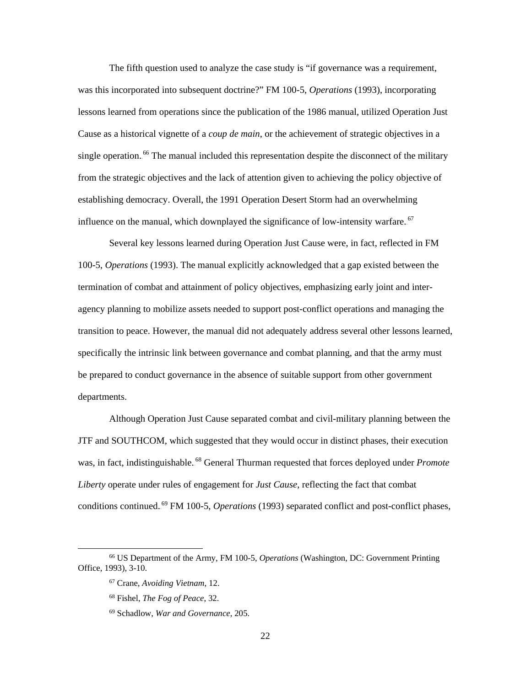The fifth question used to analyze the case study is "if governance was a requirement, was this incorporated into subsequent doctrine?" FM 100-5, *Operations* (1993), incorporating lessons learned from operations since the publication of the 1986 manual, utilized Operation Just Cause as a historical vignette of a *coup de main*, or the achievement of strategic objectives in a single operation.<sup>66</sup> The manual included this representation despite the disconnect of the military from the strategic objectives and the lack of attention given to achieving the policy objective of establishing democracy. Overall, the 1991 Operation Desert Storm had an overwhelming influence on the manual, which downplayed the significance of low-intensity warfare.<sup>67</sup>

Several key lessons learned during Operation Just Cause were, in fact, reflected in FM 100-5, *Operations* (1993). The manual explicitly acknowledged that a gap existed between the termination of combat and attainment of policy objectives, emphasizing early joint and interagency planning to mobilize assets needed to support post-conflict operations and managing the transition to peace. However, the manual did not adequately address several other lessons learned, specifically the intrinsic link between governance and combat planning, and that the army must be prepared to conduct governance in the absence of suitable support from other government departments.

Although Operation Just Cause separated combat and civil-military planning between the JTF and SOUTHCOM, which suggested that they would occur in distinct phases, their execution was, in fact, indistinguishable.<sup>68</sup> General Thurman requested that forces deployed under *Promote Liberty* operate under rules of engagement for *Just Cause*, reflecting the fact that combat conditions continued.<sup>69</sup> FM 100-5, *Operations* (1993) separated conflict and post-conflict phases,

 <sup>66</sup> US Department of the Army, FM 100-5, *Operations* (Washington, DC: Government Printing Office, 1993), 3-10.

<sup>67</sup> Crane, *Avoiding Vietnam*, 12.

<sup>68</sup> Fishel, *The Fog of Peace*, 32.

<sup>69</sup> Schadlow, *War and Governance*, 205.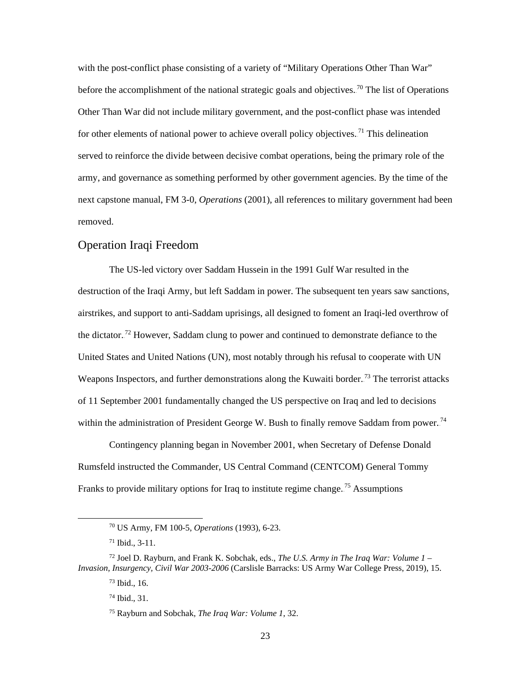with the post-conflict phase consisting of a variety of "Military Operations Other Than War" before the accomplishment of the national strategic goals and objectives.<sup>70</sup> The list of Operations Other Than War did not include military government, and the post-conflict phase was intended for other elements of national power to achieve overall policy objectives.<sup>71</sup> This delineation served to reinforce the divide between decisive combat operations, being the primary role of the army, and governance as something performed by other government agencies. By the time of the next capstone manual, FM 3-0, *Operations* (2001), all references to military government had been removed.

## <span id="page-30-0"></span>Operation Iraqi Freedom

The US-led victory over Saddam Hussein in the 1991 Gulf War resulted in the destruction of the Iraqi Army, but left Saddam in power. The subsequent ten years saw sanctions, airstrikes, and support to anti-Saddam uprisings, all designed to foment an Iraqi-led overthrow of the dictator.<sup>72</sup> However, Saddam clung to power and continued to demonstrate defiance to the United States and United Nations (UN), most notably through his refusal to cooperate with UN Weapons Inspectors, and further demonstrations along the Kuwaiti border.<sup>73</sup> The terrorist attacks of 11 September 2001 fundamentally changed the US perspective on Iraq and led to decisions within the administration of President George W. Bush to finally remove Saddam from power.<sup>74</sup>

Contingency planning began in November 2001, when Secretary of Defense Donald Rumsfeld instructed the Commander, US Central Command (CENTCOM) General Tommy Franks to provide military options for Iraq to institute regime change.<sup>75</sup> Assumptions

 <sup>70</sup> US Army, FM 100-5, *Operations* (1993), 6-23.

<sup>71</sup> Ibid., 3-11.

<sup>72</sup> Joel D. Rayburn, and Frank K. Sobchak, eds., *The U.S. Army in The Iraq War: Volume 1 – Invasion, Insurgency, Civil War 2003-2006* (Carslisle Barracks: US Army War College Press, 2019), 15.

 $73$  Ibid., 16.

<sup>74</sup> Ibid., 31.

<sup>75</sup> Rayburn and Sobchak, *The Iraq War: Volume 1*, 32.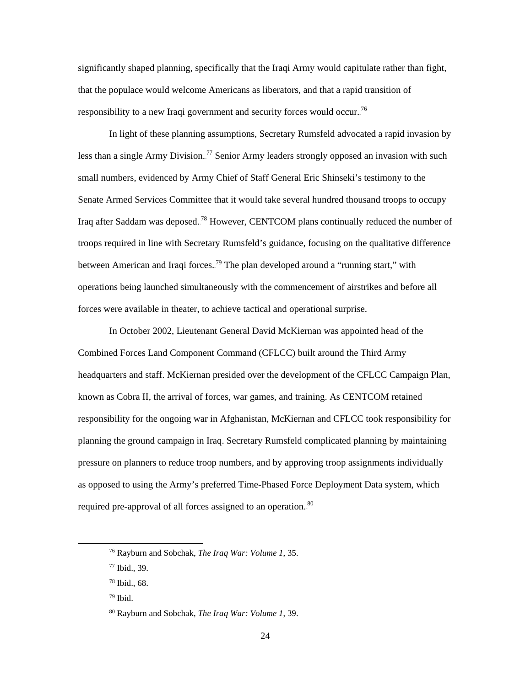significantly shaped planning, specifically that the Iraqi Army would capitulate rather than fight, that the populace would welcome Americans as liberators, and that a rapid transition of responsibility to a new Iraqi government and security forces would occur.<sup>76</sup>

In light of these planning assumptions, Secretary Rumsfeld advocated a rapid invasion by less than a single Army Division.<sup>77</sup> Senior Army leaders strongly opposed an invasion with such small numbers, evidenced by Army Chief of Staff General Eric Shinseki's testimony to the Senate Armed Services Committee that it would take several hundred thousand troops to occupy Iraq after Saddam was deposed.<sup>78</sup> However, CENTCOM plans continually reduced the number of troops required in line with Secretary Rumsfeld's guidance, focusing on the qualitative difference between American and Iraqi forces.<sup>79</sup> The plan developed around a "running start," with operations being launched simultaneously with the commencement of airstrikes and before all forces were available in theater, to achieve tactical and operational surprise.

In October 2002, Lieutenant General David McKiernan was appointed head of the Combined Forces Land Component Command (CFLCC) built around the Third Army headquarters and staff. McKiernan presided over the development of the CFLCC Campaign Plan, known as Cobra II, the arrival of forces, war games, and training. As CENTCOM retained responsibility for the ongoing war in Afghanistan, McKiernan and CFLCC took responsibility for planning the ground campaign in Iraq. Secretary Rumsfeld complicated planning by maintaining pressure on planners to reduce troop numbers, and by approving troop assignments individually as opposed to using the Army's preferred Time-Phased Force Deployment Data system, which required pre-approval of all forces assigned to an operation.<sup>80</sup>

 <sup>76</sup> Rayburn and Sobchak, *The Iraq War: Volume 1*, 35.

<sup>77</sup> Ibid., 39.

<sup>78</sup> Ibid., 68.

<sup>79</sup> Ibid.

<sup>80</sup> Rayburn and Sobchak, *The Iraq War: Volume 1*, 39.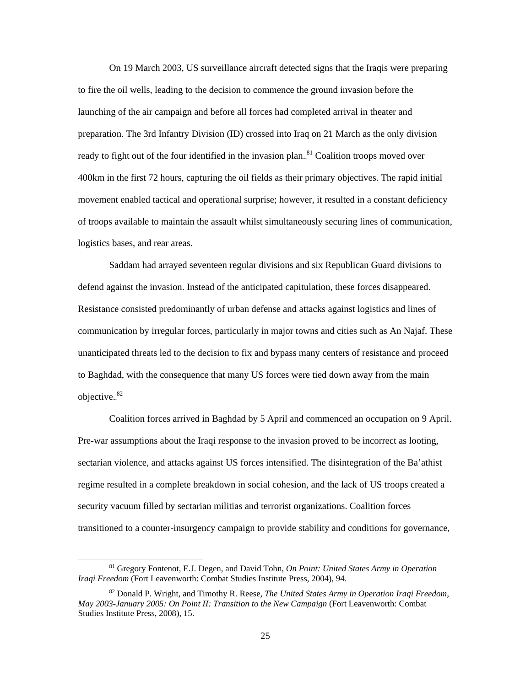On 19 March 2003, US surveillance aircraft detected signs that the Iraqis were preparing to fire the oil wells, leading to the decision to commence the ground invasion before the launching of the air campaign and before all forces had completed arrival in theater and preparation. The 3rd Infantry Division (ID) crossed into Iraq on 21 March as the only division ready to fight out of the four identified in the invasion plan.<sup>81</sup> Coalition troops moved over 400km in the first 72 hours, capturing the oil fields as their primary objectives. The rapid initial movement enabled tactical and operational surprise; however, it resulted in a constant deficiency of troops available to maintain the assault whilst simultaneously securing lines of communication, logistics bases, and rear areas.

Saddam had arrayed seventeen regular divisions and six Republican Guard divisions to defend against the invasion. Instead of the anticipated capitulation, these forces disappeared. Resistance consisted predominantly of urban defense and attacks against logistics and lines of communication by irregular forces, particularly in major towns and cities such as An Najaf. These unanticipated threats led to the decision to fix and bypass many centers of resistance and proceed to Baghdad, with the consequence that many US forces were tied down away from the main objective.<sup>82</sup>

Coalition forces arrived in Baghdad by 5 April and commenced an occupation on 9 April. Pre-war assumptions about the Iraqi response to the invasion proved to be incorrect as looting, sectarian violence, and attacks against US forces intensified. The disintegration of the Ba'athist regime resulted in a complete breakdown in social cohesion, and the lack of US troops created a security vacuum filled by sectarian militias and terrorist organizations. Coalition forces transitioned to a counter-insurgency campaign to provide stability and conditions for governance,

 <sup>81</sup> Gregory Fontenot, E.J. Degen, and David Tohn, *On Point: United States Army in Operation Iraqi Freedom* (Fort Leavenworth: Combat Studies Institute Press, 2004), 94.

<sup>82</sup> Donald P. Wright, and Timothy R. Reese, *The United States Army in Operation Iraqi Freedom, May 2003-January 2005: On Point II: Transition to the New Campaign* (Fort Leavenworth: Combat Studies Institute Press, 2008), 15.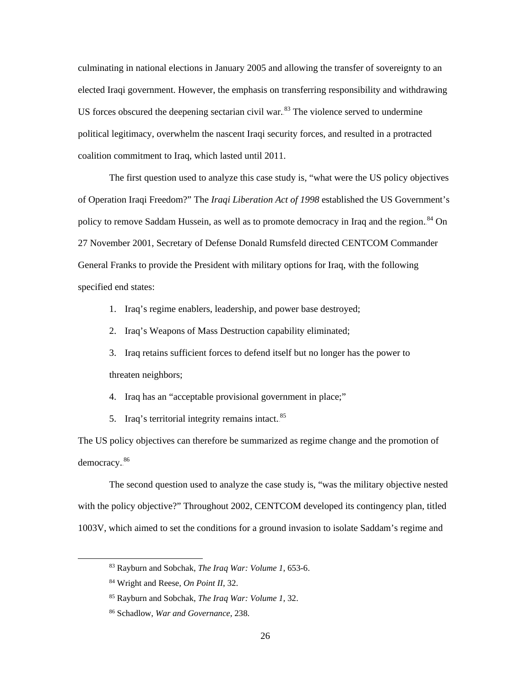culminating in national elections in January 2005 and allowing the transfer of sovereignty to an elected Iraqi government. However, the emphasis on transferring responsibility and withdrawing US forces obscured the deepening sectarian civil war. $83$  The violence served to undermine political legitimacy, overwhelm the nascent Iraqi security forces, and resulted in a protracted coalition commitment to Iraq, which lasted until 2011.

The first question used to analyze this case study is, "what were the US policy objectives of Operation Iraqi Freedom?" The *Iraqi Liberation Act of 1998* established the US Government's policy to remove Saddam Hussein, as well as to promote democracy in Iraq and the region.<sup>84</sup> On 27 November 2001, Secretary of Defense Donald Rumsfeld directed CENTCOM Commander General Franks to provide the President with military options for Iraq, with the following specified end states:

1. Iraq's regime enablers, leadership, and power base destroyed;

2. Iraq's Weapons of Mass Destruction capability eliminated;

3. Iraq retains sufficient forces to defend itself but no longer has the power to threaten neighbors;

4. Iraq has an "acceptable provisional government in place;"

5. Iraq's territorial integrity remains intact.<sup>85</sup>

The US policy objectives can therefore be summarized as regime change and the promotion of democracy.<sup>86</sup>

The second question used to analyze the case study is, "was the military objective nested with the policy objective?" Throughout 2002, CENTCOM developed its contingency plan, titled 1003V, which aimed to set the conditions for a ground invasion to isolate Saddam's regime and

 <sup>83</sup> Rayburn and Sobchak, *The Iraq War: Volume 1*, 653-6.

<sup>84</sup> Wright and Reese, *On Point II*, 32.

<sup>85</sup> Rayburn and Sobchak, *The Iraq War: Volume 1*, 32.

<sup>86</sup> Schadlow, *War and Governance*, 238.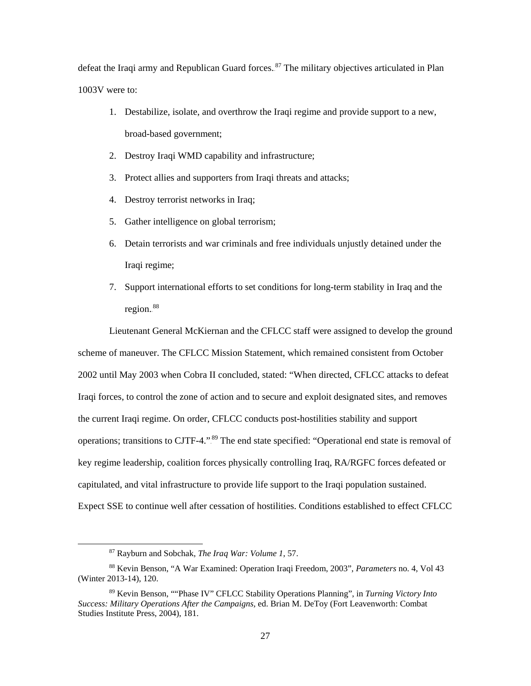defeat the Iraqi army and Republican Guard forces.<sup>87</sup> The military objectives articulated in Plan 1003V were to:

- 1. Destabilize, isolate, and overthrow the Iraqi regime and provide support to a new, broad-based government;
- 2. Destroy Iraqi WMD capability and infrastructure;
- 3. Protect allies and supporters from Iraqi threats and attacks;
- 4. Destroy terrorist networks in Iraq;
- 5. Gather intelligence on global terrorism;
- 6. Detain terrorists and war criminals and free individuals unjustly detained under the Iraqi regime;
- 7. Support international efforts to set conditions for long-term stability in Iraq and the region.<sup>88</sup>

Lieutenant General McKiernan and the CFLCC staff were assigned to develop the ground scheme of maneuver. The CFLCC Mission Statement, which remained consistent from October 2002 until May 2003 when Cobra II concluded, stated: "When directed, CFLCC attacks to defeat Iraqi forces, to control the zone of action and to secure and exploit designated sites, and removes the current Iraqi regime. On order, CFLCC conducts post-hostilities stability and support operations; transitions to CJTF-4.".<sup>89</sup> The end state specified: "Operational end state is removal of key regime leadership, coalition forces physically controlling Iraq, RA/RGFC forces defeated or capitulated, and vital infrastructure to provide life support to the Iraqi population sustained. Expect SSE to continue well after cessation of hostilities. Conditions established to effect CFLCC

 <sup>87</sup> Rayburn and Sobchak, *The Iraq War: Volume 1*, 57.

<sup>88</sup> Kevin Benson, "A War Examined: Operation Iraqi Freedom, 2003", *Parameters* no. 4, Vol 43 (Winter 2013-14), 120.

<sup>89</sup> Kevin Benson, ""Phase IV" CFLCC Stability Operations Planning", in *Turning Victory Into Success: Military Operations After the Campaigns,* ed. Brian M. DeToy (Fort Leavenworth: Combat Studies Institute Press, 2004), 181.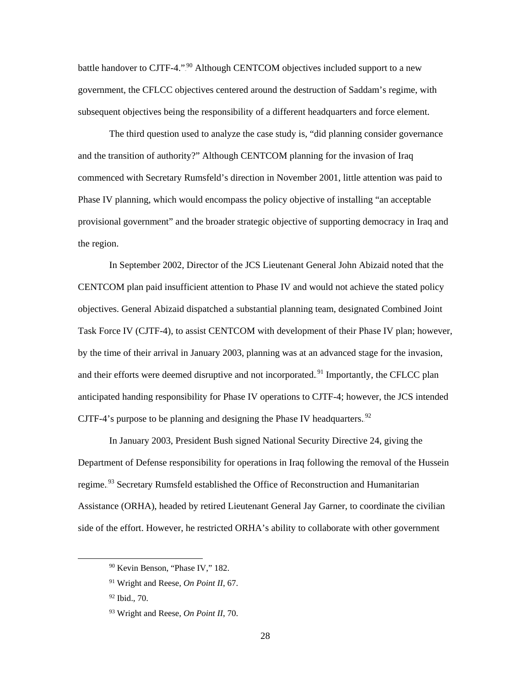battle handover to CJTF-4.".<sup>90</sup> Although CENTCOM objectives included support to a new government, the CFLCC objectives centered around the destruction of Saddam's regime, with subsequent objectives being the responsibility of a different headquarters and force element.

The third question used to analyze the case study is, "did planning consider governance and the transition of authority?" Although CENTCOM planning for the invasion of Iraq commenced with Secretary Rumsfeld's direction in November 2001, little attention was paid to Phase IV planning, which would encompass the policy objective of installing "an acceptable provisional government" and the broader strategic objective of supporting democracy in Iraq and the region.

In September 2002, Director of the JCS Lieutenant General John Abizaid noted that the CENTCOM plan paid insufficient attention to Phase IV and would not achieve the stated policy objectives. General Abizaid dispatched a substantial planning team, designated Combined Joint Task Force IV (CJTF-4), to assist CENTCOM with development of their Phase IV plan; however, by the time of their arrival in January 2003, planning was at an advanced stage for the invasion, and their efforts were deemed disruptive and not incorporated.<sup>91</sup> Importantly, the CFLCC plan anticipated handing responsibility for Phase IV operations to CJTF-4; however, the JCS intended CJTF-4's purpose to be planning and designing the Phase IV headquarters.<sup>92</sup>

In January 2003, President Bush signed National Security Directive 24, giving the Department of Defense responsibility for operations in Iraq following the removal of the Hussein regime.<sup>93</sup> Secretary Rumsfeld established the Office of Reconstruction and Humanitarian Assistance (ORHA), headed by retired Lieutenant General Jay Garner, to coordinate the civilian side of the effort. However, he restricted ORHA's ability to collaborate with other government

 <sup>90</sup> Kevin Benson, "Phase IV," 182.

<sup>91</sup> Wright and Reese, *On Point II*, 67.

<sup>92</sup> Ibid., 70.

<sup>93</sup> Wright and Reese, *On Point II*, 70.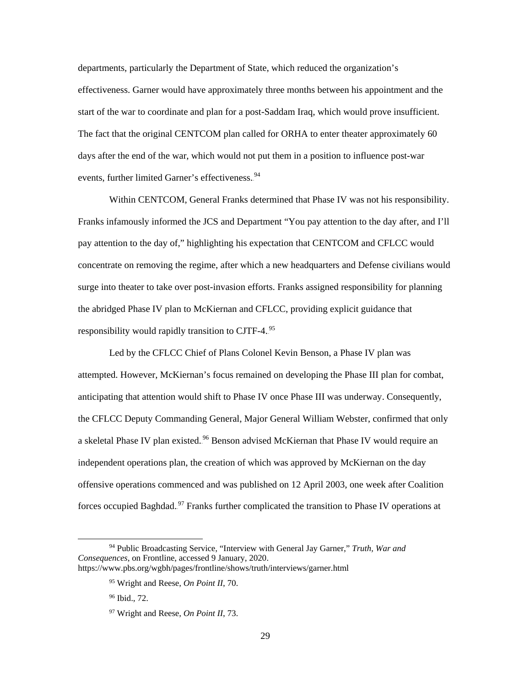departments, particularly the Department of State, which reduced the organization's effectiveness. Garner would have approximately three months between his appointment and the start of the war to coordinate and plan for a post-Saddam Iraq, which would prove insufficient. The fact that the original CENTCOM plan called for ORHA to enter theater approximately 60 days after the end of the war, which would not put them in a position to influence post-war events, further limited Garner's effectiveness.<sup>94</sup>

Within CENTCOM, General Franks determined that Phase IV was not his responsibility. Franks infamously informed the JCS and Department "You pay attention to the day after, and I'll pay attention to the day of," highlighting his expectation that CENTCOM and CFLCC would concentrate on removing the regime, after which a new headquarters and Defense civilians would surge into theater to take over post-invasion efforts. Franks assigned responsibility for planning the abridged Phase IV plan to McKiernan and CFLCC, providing explicit guidance that responsibility would rapidly transition to CJTF-4.<sup>95</sup>

Led by the CFLCC Chief of Plans Colonel Kevin Benson, a Phase IV plan was attempted. However, McKiernan's focus remained on developing the Phase III plan for combat, anticipating that attention would shift to Phase IV once Phase III was underway. Consequently, the CFLCC Deputy Commanding General, Major General William Webster, confirmed that only a skeletal Phase IV plan existed.<sup>96</sup> Benson advised McKiernan that Phase IV would require an independent operations plan, the creation of which was approved by McKiernan on the day offensive operations commenced and was published on 12 April 2003, one week after Coalition forces occupied Baghdad.<sup>97</sup> Franks further complicated the transition to Phase IV operations at

 <sup>94</sup> Public Broadcasting Service, "Interview with General Jay Garner," *Truth, War and Consequences*, on Frontline, accessed 9 January, 2020. <https://www.pbs.org/wgbh/pages/frontline/shows/truth/interviews/garner.html>

<sup>95</sup> Wright and Reese, *On Point II*, 70.

<sup>96</sup> Ibid., 72.

<sup>97</sup> Wright and Reese, *On Point II*, 73.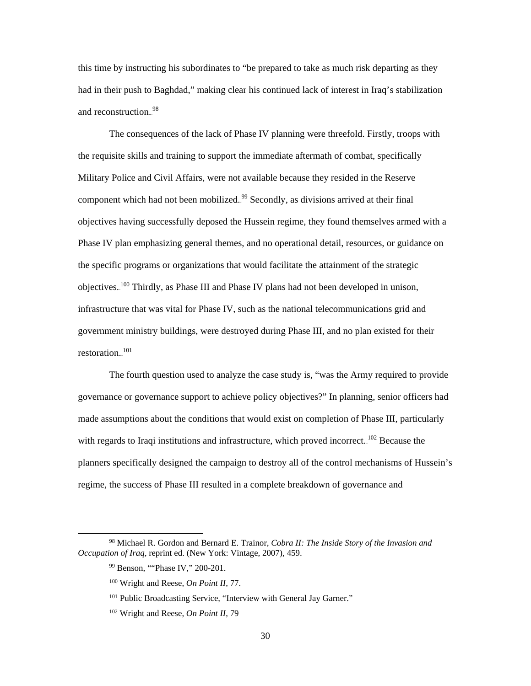this time by instructing his subordinates to "be prepared to take as much risk departing as they had in their push to Baghdad," making clear his continued lack of interest in Iraq's stabilization and reconstruction.<sup>98</sup>

The consequences of the lack of Phase IV planning were threefold. Firstly, troops with the requisite skills and training to support the immediate aftermath of combat, specifically Military Police and Civil Affairs, were not available because they resided in the Reserve component which had not been mobilized.<sup>99</sup> Secondly, as divisions arrived at their final objectives having successfully deposed the Hussein regime, they found themselves armed with a Phase IV plan emphasizing general themes, and no operational detail, resources, or guidance on the specific programs or organizations that would facilitate the attainment of the strategic objectives.<sup>100</sup> Thirdly, as Phase III and Phase IV plans had not been developed in unison, infrastructure that was vital for Phase IV, such as the national telecommunications grid and government ministry buildings, were destroyed during Phase III, and no plan existed for their restoration.<sup>101</sup>

The fourth question used to analyze the case study is, "was the Army required to provide governance or governance support to achieve policy objectives?" In planning, senior officers had made assumptions about the conditions that would exist on completion of Phase III, particularly with regards to Iraqi institutions and infrastructure, which proved incorrect.<sup>102</sup> Because the planners specifically designed the campaign to destroy all of the control mechanisms of Hussein's regime, the success of Phase III resulted in a complete breakdown of governance and

 <sup>98</sup> Michael R. Gordon and Bernard E. Trainor, *Cobra II: The Inside Story of the Invasion and Occupation of Iraq*, reprint ed. (New York: Vintage, 2007), 459.

<sup>99</sup> Benson, ""Phase IV," 200-201.

<sup>100</sup> Wright and Reese, *On Point II*, 77.

<sup>&</sup>lt;sup>101</sup> Public Broadcasting Service, "Interview with General Jay Garner."

<sup>102</sup> Wright and Reese, *On Point II*, 79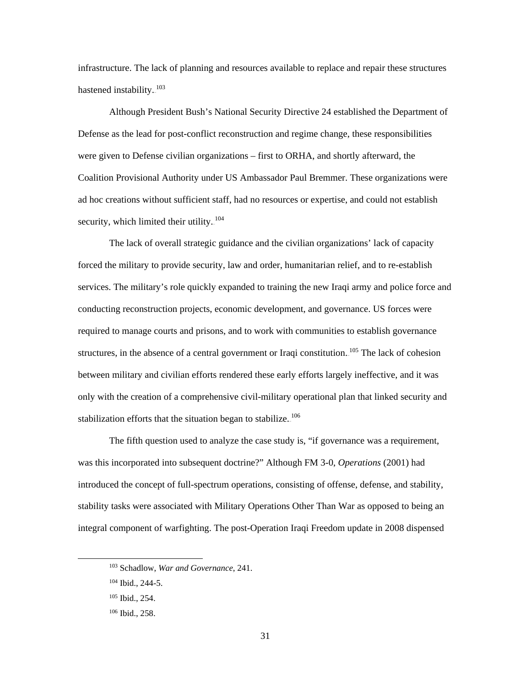infrastructure. The lack of planning and resources available to replace and repair these structures hastened instability.<sup>103</sup>

Although President Bush's National Security Directive 24 established the Department of Defense as the lead for post-conflict reconstruction and regime change, these responsibilities were given to Defense civilian organizations – first to ORHA, and shortly afterward, the Coalition Provisional Authority under US Ambassador Paul Bremmer. These organizations were ad hoc creations without sufficient staff, had no resources or expertise, and could not establish security, which limited their utility. $104$ 

The lack of overall strategic guidance and the civilian organizations' lack of capacity forced the military to provide security, law and order, humanitarian relief, and to re-establish services. The military's role quickly expanded to training the new Iraqi army and police force and conducting reconstruction projects, economic development, and governance. US forces were required to manage courts and prisons, and to work with communities to establish governance structures, in the absence of a central government or Iraqi constitution.<sup>105</sup> The lack of cohesion between military and civilian efforts rendered these early efforts largely ineffective, and it was only with the creation of a comprehensive civil-military operational plan that linked security and stabilization efforts that the situation began to stabilize. $106$ 

The fifth question used to analyze the case study is, "if governance was a requirement, was this incorporated into subsequent doctrine?" Although FM 3-0, *Operations* (2001) had introduced the concept of full-spectrum operations, consisting of offense, defense, and stability, stability tasks were associated with Military Operations Other Than War as opposed to being an integral component of warfighting. The post-Operation Iraqi Freedom update in 2008 dispensed

 <sup>103</sup> Schadlow, *War and Governance*, 241.

<sup>104</sup> Ibid., 244-5.

<sup>105</sup> Ibid., 254.

<sup>106</sup> Ibid., 258.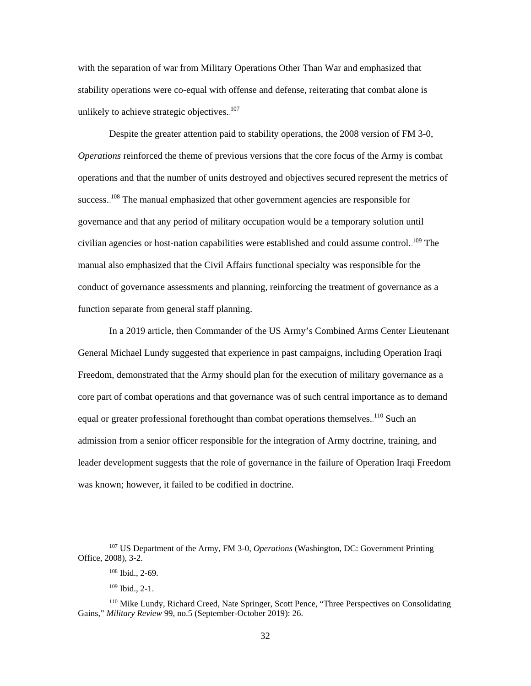with the separation of war from Military Operations Other Than War and emphasized that stability operations were co-equal with offense and defense, reiterating that combat alone is unlikely to achieve strategic objectives. $107$ 

Despite the greater attention paid to stability operations, the 2008 version of FM 3-0, *Operations* reinforced the theme of previous versions that the core focus of the Army is combat operations and that the number of units destroyed and objectives secured represent the metrics of success.<sup>108</sup> The manual emphasized that other government agencies are responsible for governance and that any period of military occupation would be a temporary solution until civilian agencies or host-nation capabilities were established and could assume control.<sup>109</sup> The manual also emphasized that the Civil Affairs functional specialty was responsible for the conduct of governance assessments and planning, reinforcing the treatment of governance as a function separate from general staff planning.

In a 2019 article, then Commander of the US Army's Combined Arms Center Lieutenant General Michael Lundy suggested that experience in past campaigns, including Operation Iraqi Freedom, demonstrated that the Army should plan for the execution of military governance as a core part of combat operations and that governance was of such central importance as to demand equal or greater professional forethought than combat operations themselves. <sup>110</sup> Such an admission from a senior officer responsible for the integration of Army doctrine, training, and leader development suggests that the role of governance in the failure of Operation Iraqi Freedom was known; however, it failed to be codified in doctrine.

 <sup>107</sup> US Department of the Army, FM 3-0, *Operations* (Washington, DC: Government Printing Office, 2008), 3-2.

<sup>108</sup> Ibid., 2-69.

 $109$  Ibid., 2-1.

<sup>110</sup> Mike Lundy, Richard Creed, Nate Springer, Scott Pence, "Three Perspectives on Consolidating Gains," *Military Review* 99, no.5 (September-October 2019): 26.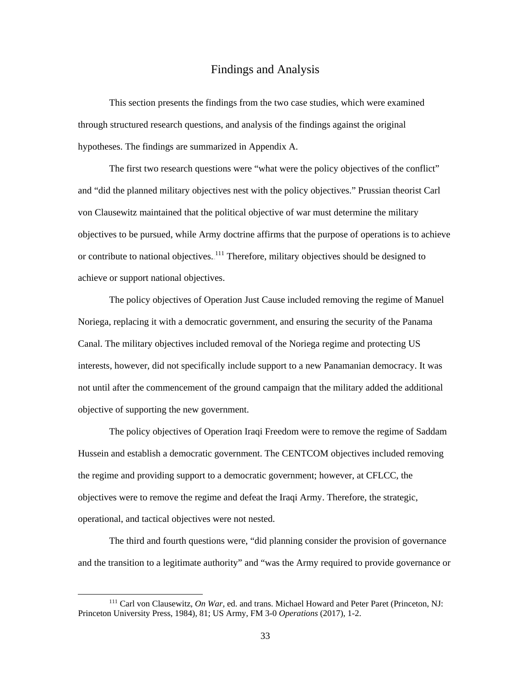#### Findings and Analysis

<span id="page-40-0"></span>This section presents the findings from the two case studies, which were examined through structured research questions, and analysis of the findings against the original hypotheses. The findings are summarized in Appendix A.

The first two research questions were "what were the policy objectives of the conflict" and "did the planned military objectives nest with the policy objectives." Prussian theorist Carl von Clausewitz maintained that the political objective of war must determine the military objectives to be pursued, while Army doctrine affirms that the purpose of operations is to achieve or contribute to national objectives.<sup>111</sup> Therefore, military objectives should be designed to achieve or support national objectives.

The policy objectives of Operation Just Cause included removing the regime of Manuel Noriega, replacing it with a democratic government, and ensuring the security of the Panama Canal. The military objectives included removal of the Noriega regime and protecting US interests, however, did not specifically include support to a new Panamanian democracy. It was not until after the commencement of the ground campaign that the military added the additional objective of supporting the new government.

The policy objectives of Operation Iraqi Freedom were to remove the regime of Saddam Hussein and establish a democratic government. The CENTCOM objectives included removing the regime and providing support to a democratic government; however, at CFLCC, the objectives were to remove the regime and defeat the Iraqi Army. Therefore, the strategic, operational, and tactical objectives were not nested.

The third and fourth questions were, "did planning consider the provision of governance and the transition to a legitimate authority" and "was the Army required to provide governance or

 <sup>111</sup> Carl von Clausewitz, *On War*, ed. and trans. Michael Howard and Peter Paret (Princeton, NJ: Princeton University Press, 1984), 81; US Army, FM 3-0 *Operations* (2017), 1-2.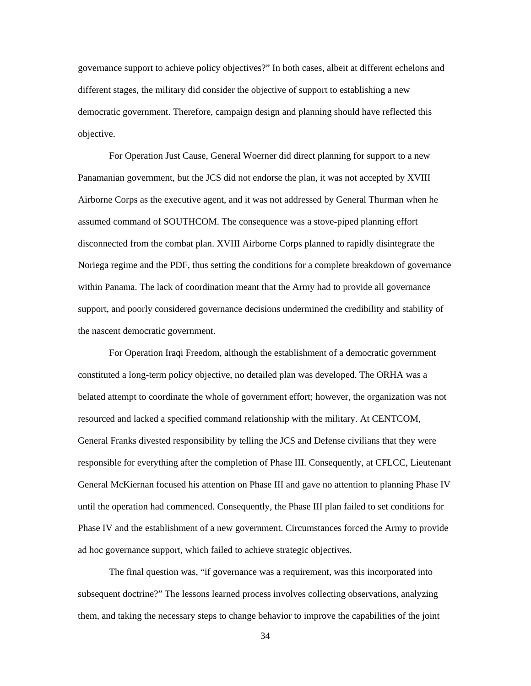governance support to achieve policy objectives?" In both cases, albeit at different echelons and different stages, the military did consider the objective of support to establishing a new democratic government. Therefore, campaign design and planning should have reflected this objective.

For Operation Just Cause, General Woerner did direct planning for support to a new Panamanian government, but the JCS did not endorse the plan, it was not accepted by XVIII Airborne Corps as the executive agent, and it was not addressed by General Thurman when he assumed command of SOUTHCOM. The consequence was a stove-piped planning effort disconnected from the combat plan. XVIII Airborne Corps planned to rapidly disintegrate the Noriega regime and the PDF, thus setting the conditions for a complete breakdown of governance within Panama. The lack of coordination meant that the Army had to provide all governance support, and poorly considered governance decisions undermined the credibility and stability of the nascent democratic government.

For Operation Iraqi Freedom, although the establishment of a democratic government constituted a long-term policy objective, no detailed plan was developed. The ORHA was a belated attempt to coordinate the whole of government effort; however, the organization was not resourced and lacked a specified command relationship with the military. At CENTCOM, General Franks divested responsibility by telling the JCS and Defense civilians that they were responsible for everything after the completion of Phase III. Consequently, at CFLCC, Lieutenant General McKiernan focused his attention on Phase III and gave no attention to planning Phase IV until the operation had commenced. Consequently, the Phase III plan failed to set conditions for Phase IV and the establishment of a new government. Circumstances forced the Army to provide ad hoc governance support, which failed to achieve strategic objectives.

The final question was, "if governance was a requirement, was this incorporated into subsequent doctrine?" The lessons learned process involves collecting observations, analyzing them, and taking the necessary steps to change behavior to improve the capabilities of the joint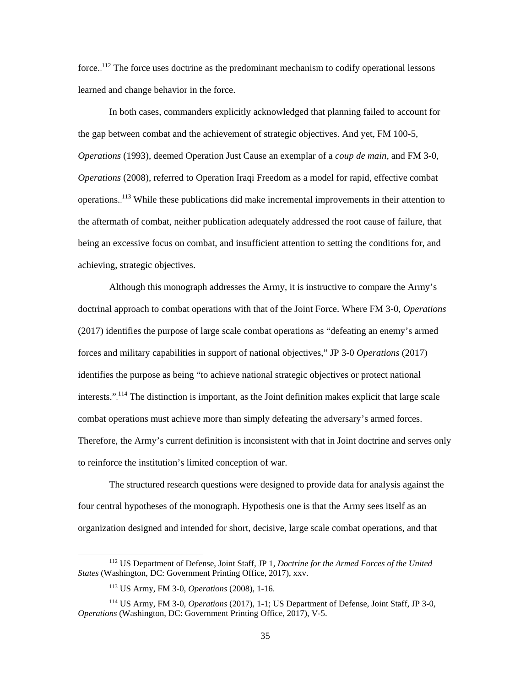force.<sup>112</sup> The force uses doctrine as the predominant mechanism to codify operational lessons learned and change behavior in the force.

In both cases, commanders explicitly acknowledged that planning failed to account for the gap between combat and the achievement of strategic objectives. And yet, FM 100-5, *Operations* (1993), deemed Operation Just Cause an exemplar of a *coup de main*, and FM 3-0, *Operations* (2008), referred to Operation Iraqi Freedom as a model for rapid, effective combat operations.<sup>113</sup> While these publications did make incremental improvements in their attention to the aftermath of combat, neither publication adequately addressed the root cause of failure, that being an excessive focus on combat, and insufficient attention to setting the conditions for, and achieving, strategic objectives.

Although this monograph addresses the Army, it is instructive to compare the Army's doctrinal approach to combat operations with that of the Joint Force. Where FM 3-0, *Operations* (2017) identifies the purpose of large scale combat operations as "defeating an enemy's armed forces and military capabilities in support of national objectives," JP 3-0 *Operations* (2017) identifies the purpose as being "to achieve national strategic objectives or protect national interests."<sup>114</sup> The distinction is important, as the Joint definition makes explicit that large scale combat operations must achieve more than simply defeating the adversary's armed forces. Therefore, the Army's current definition is inconsistent with that in Joint doctrine and serves only to reinforce the institution's limited conception of war.

The structured research questions were designed to provide data for analysis against the four central hypotheses of the monograph. Hypothesis one is that the Army sees itself as an organization designed and intended for short, decisive, large scale combat operations, and that

 <sup>112</sup> US Department of Defense, Joint Staff, JP 1, *Doctrine for the Armed Forces of the United States* (Washington, DC: Government Printing Office, 2017), xxv.

<sup>113</sup> US Army, FM 3-0, *Operations* (2008), 1-16.

<sup>114</sup> US Army, FM 3-0, *Operations* (2017), 1-1; US Department of Defense, Joint Staff, JP 3-0, *Operations* (Washington, DC: Government Printing Office, 2017), V-5.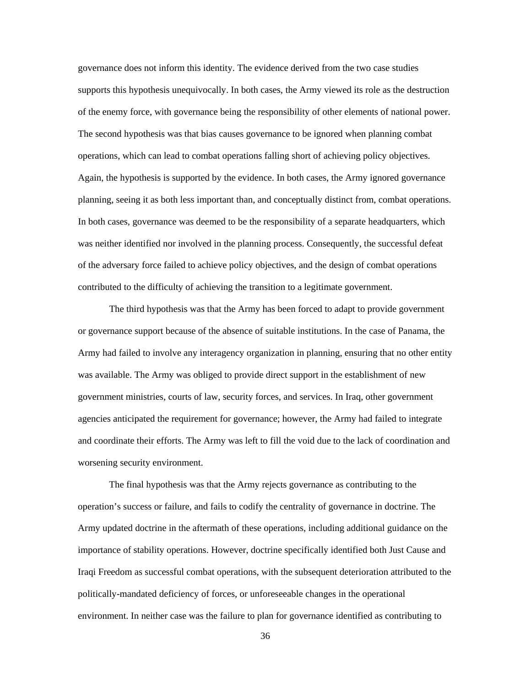governance does not inform this identity. The evidence derived from the two case studies supports this hypothesis unequivocally. In both cases, the Army viewed its role as the destruction of the enemy force, with governance being the responsibility of other elements of national power. The second hypothesis was that bias causes governance to be ignored when planning combat operations, which can lead to combat operations falling short of achieving policy objectives. Again, the hypothesis is supported by the evidence. In both cases, the Army ignored governance planning, seeing it as both less important than, and conceptually distinct from, combat operations. In both cases, governance was deemed to be the responsibility of a separate headquarters, which was neither identified nor involved in the planning process. Consequently, the successful defeat of the adversary force failed to achieve policy objectives, and the design of combat operations contributed to the difficulty of achieving the transition to a legitimate government.

The third hypothesis was that the Army has been forced to adapt to provide government or governance support because of the absence of suitable institutions. In the case of Panama, the Army had failed to involve any interagency organization in planning, ensuring that no other entity was available. The Army was obliged to provide direct support in the establishment of new government ministries, courts of law, security forces, and services. In Iraq, other government agencies anticipated the requirement for governance; however, the Army had failed to integrate and coordinate their efforts. The Army was left to fill the void due to the lack of coordination and worsening security environment.

The final hypothesis was that the Army rejects governance as contributing to the operation's success or failure, and fails to codify the centrality of governance in doctrine. The Army updated doctrine in the aftermath of these operations, including additional guidance on the importance of stability operations. However, doctrine specifically identified both Just Cause and Iraqi Freedom as successful combat operations, with the subsequent deterioration attributed to the politically-mandated deficiency of forces, or unforeseeable changes in the operational environment. In neither case was the failure to plan for governance identified as contributing to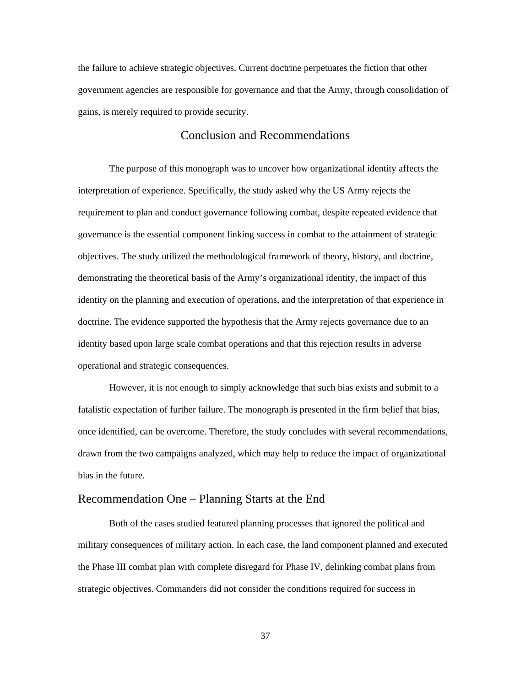the failure to achieve strategic objectives. Current doctrine perpetuates the fiction that other government agencies are responsible for governance and that the Army, through consolidation of gains, is merely required to provide security.

## Conclusion and Recommendations

<span id="page-44-0"></span>The purpose of this monograph was to uncover how organizational identity affects the interpretation of experience. Specifically, the study asked why the US Army rejects the requirement to plan and conduct governance following combat, despite repeated evidence that governance is the essential component linking success in combat to the attainment of strategic objectives. The study utilized the methodological framework of theory, history, and doctrine, demonstrating the theoretical basis of the Army's organizational identity, the impact of this identity on the planning and execution of operations, and the interpretation of that experience in doctrine. The evidence supported the hypothesis that the Army rejects governance due to an identity based upon large scale combat operations and that this rejection results in adverse operational and strategic consequences.

However, it is not enough to simply acknowledge that such bias exists and submit to a fatalistic expectation of further failure. The monograph is presented in the firm belief that bias, once identified, can be overcome. Therefore, the study concludes with several recommendations, drawn from the two campaigns analyzed, which may help to reduce the impact of organizational bias in the future.

#### <span id="page-44-1"></span>Recommendation One – Planning Starts at the End

Both of the cases studied featured planning processes that ignored the political and military consequences of military action. In each case, the land component planned and executed the Phase III combat plan with complete disregard for Phase IV, delinking combat plans from strategic objectives. Commanders did not consider the conditions required for success in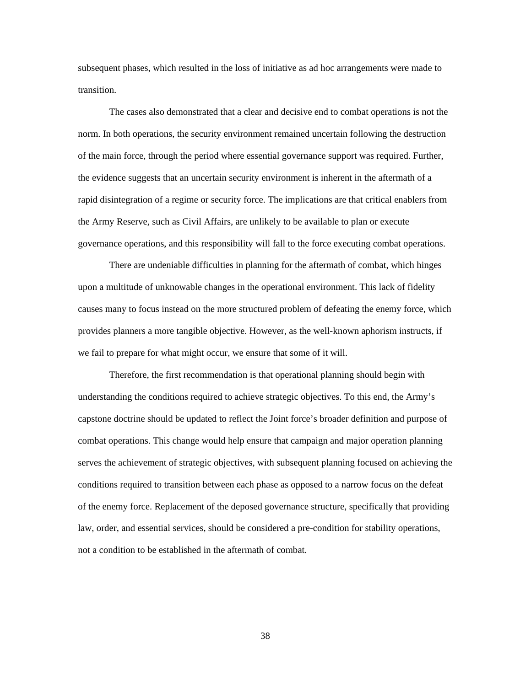subsequent phases, which resulted in the loss of initiative as ad hoc arrangements were made to transition.

The cases also demonstrated that a clear and decisive end to combat operations is not the norm. In both operations, the security environment remained uncertain following the destruction of the main force, through the period where essential governance support was required. Further, the evidence suggests that an uncertain security environment is inherent in the aftermath of a rapid disintegration of a regime or security force. The implications are that critical enablers from the Army Reserve, such as Civil Affairs, are unlikely to be available to plan or execute governance operations, and this responsibility will fall to the force executing combat operations.

There are undeniable difficulties in planning for the aftermath of combat, which hinges upon a multitude of unknowable changes in the operational environment. This lack of fidelity causes many to focus instead on the more structured problem of defeating the enemy force, which provides planners a more tangible objective. However, as the well-known aphorism instructs, if we fail to prepare for what might occur, we ensure that some of it will.

Therefore, the first recommendation is that operational planning should begin with understanding the conditions required to achieve strategic objectives. To this end, the Army's capstone doctrine should be updated to reflect the Joint force's broader definition and purpose of combat operations. This change would help ensure that campaign and major operation planning serves the achievement of strategic objectives, with subsequent planning focused on achieving the conditions required to transition between each phase as opposed to a narrow focus on the defeat of the enemy force. Replacement of the deposed governance structure, specifically that providing law, order, and essential services, should be considered a pre-condition for stability operations, not a condition to be established in the aftermath of combat.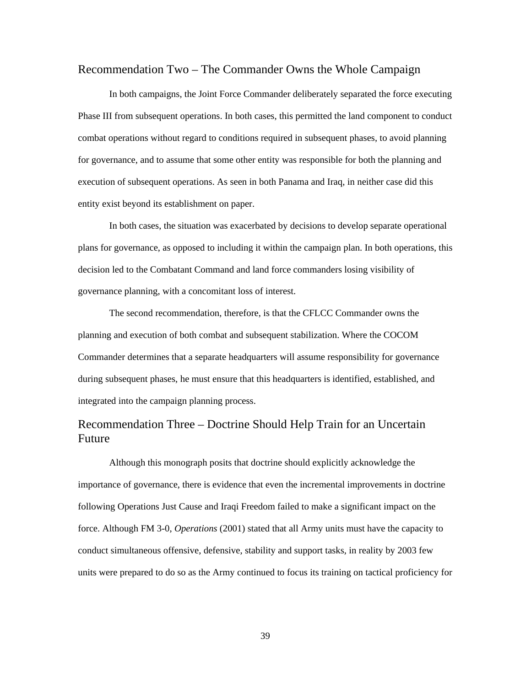#### <span id="page-46-0"></span>Recommendation Two – The Commander Owns the Whole Campaign

In both campaigns, the Joint Force Commander deliberately separated the force executing Phase III from subsequent operations. In both cases, this permitted the land component to conduct combat operations without regard to conditions required in subsequent phases, to avoid planning for governance, and to assume that some other entity was responsible for both the planning and execution of subsequent operations. As seen in both Panama and Iraq, in neither case did this entity exist beyond its establishment on paper.

In both cases, the situation was exacerbated by decisions to develop separate operational plans for governance, as opposed to including it within the campaign plan. In both operations, this decision led to the Combatant Command and land force commanders losing visibility of governance planning, with a concomitant loss of interest.

The second recommendation, therefore, is that the CFLCC Commander owns the planning and execution of both combat and subsequent stabilization. Where the COCOM Commander determines that a separate headquarters will assume responsibility for governance during subsequent phases, he must ensure that this headquarters is identified, established, and integrated into the campaign planning process.

## <span id="page-46-1"></span>Recommendation Three – Doctrine Should Help Train for an Uncertain Future

Although this monograph posits that doctrine should explicitly acknowledge the importance of governance, there is evidence that even the incremental improvements in doctrine following Operations Just Cause and Iraqi Freedom failed to make a significant impact on the force. Although FM 3-0, *Operations* (2001) stated that all Army units must have the capacity to conduct simultaneous offensive, defensive, stability and support tasks, in reality by 2003 few units were prepared to do so as the Army continued to focus its training on tactical proficiency for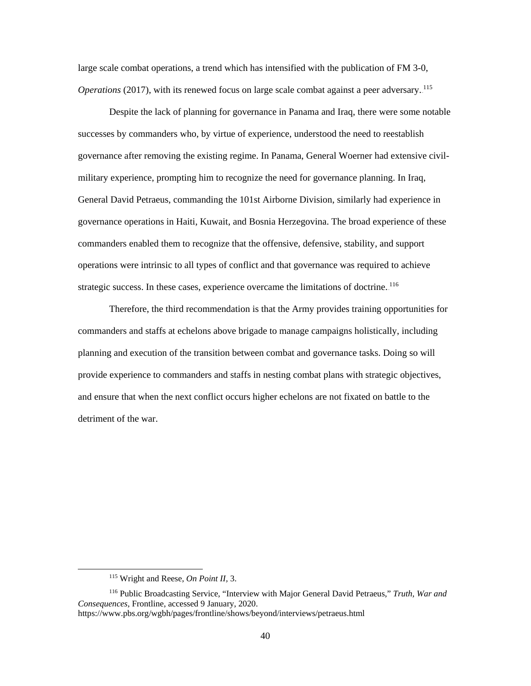large scale combat operations, a trend which has intensified with the publication of FM 3-0, Operations (2017), with its renewed focus on large scale combat against a peer adversary.<sup>115</sup>

Despite the lack of planning for governance in Panama and Iraq, there were some notable successes by commanders who, by virtue of experience, understood the need to reestablish governance after removing the existing regime. In Panama, General Woerner had extensive civilmilitary experience, prompting him to recognize the need for governance planning. In Iraq, General David Petraeus, commanding the 101st Airborne Division, similarly had experience in governance operations in Haiti, Kuwait, and Bosnia Herzegovina. The broad experience of these commanders enabled them to recognize that the offensive, defensive, stability, and support operations were intrinsic to all types of conflict and that governance was required to achieve strategic success. In these cases, experience overcame the limitations of doctrine. 116

Therefore, the third recommendation is that the Army provides training opportunities for commanders and staffs at echelons above brigade to manage campaigns holistically, including planning and execution of the transition between combat and governance tasks. Doing so will provide experience to commanders and staffs in nesting combat plans with strategic objectives, and ensure that when the next conflict occurs higher echelons are not fixated on battle to the detriment of the war.

 <sup>115</sup> Wright and Reese, *On Point II,* 3.

<sup>116</sup> Public Broadcasting Service, "Interview with Major General David Petraeus," *Truth, War and Consequences,* Frontline, accessed 9 January, 2020.

<https://www.pbs.org/wgbh/pages/frontline/shows/beyond/interviews/petraeus.html>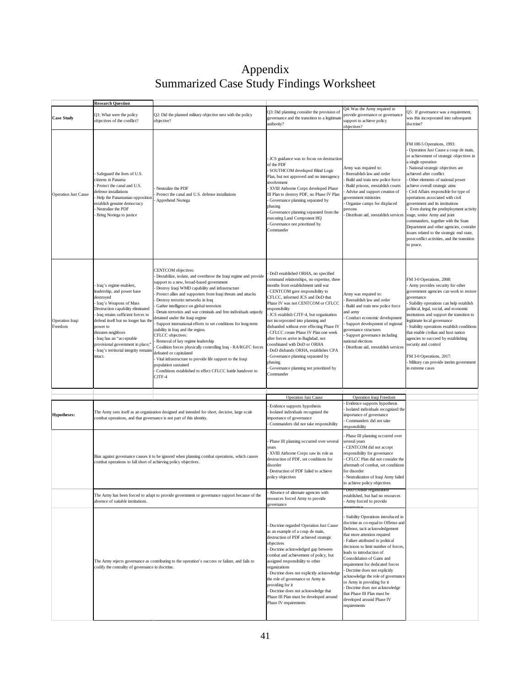## Appendix Summarized Case Study Findings Worksheet

<span id="page-48-0"></span>

|                             | <b>Research Question</b>                                                                                                                                                                                                                                                                                                                                                                                                                                                                                                                                                                                                                                                                                                                                                                                                                                                                                                                                                                                                                                                                                                                                                                                                                       |                                                                                                 |                                                                                                                                                                                                                                                                                                                                                                                                                                                                                                                                                                                                                                             |                                                                                                                                                                                                                                                                                                                                                                                                                                                                                                                                        |                                                                                                                                                                                                                                                                                                                                                                                                                                                                                                                                                                                                                                                                    |
|-----------------------------|------------------------------------------------------------------------------------------------------------------------------------------------------------------------------------------------------------------------------------------------------------------------------------------------------------------------------------------------------------------------------------------------------------------------------------------------------------------------------------------------------------------------------------------------------------------------------------------------------------------------------------------------------------------------------------------------------------------------------------------------------------------------------------------------------------------------------------------------------------------------------------------------------------------------------------------------------------------------------------------------------------------------------------------------------------------------------------------------------------------------------------------------------------------------------------------------------------------------------------------------|-------------------------------------------------------------------------------------------------|---------------------------------------------------------------------------------------------------------------------------------------------------------------------------------------------------------------------------------------------------------------------------------------------------------------------------------------------------------------------------------------------------------------------------------------------------------------------------------------------------------------------------------------------------------------------------------------------------------------------------------------------|----------------------------------------------------------------------------------------------------------------------------------------------------------------------------------------------------------------------------------------------------------------------------------------------------------------------------------------------------------------------------------------------------------------------------------------------------------------------------------------------------------------------------------------|--------------------------------------------------------------------------------------------------------------------------------------------------------------------------------------------------------------------------------------------------------------------------------------------------------------------------------------------------------------------------------------------------------------------------------------------------------------------------------------------------------------------------------------------------------------------------------------------------------------------------------------------------------------------|
| <b>Case Study</b>           | Q2: Did the planned military objective nest with the policy<br>Q1: What were the policy<br>objective?<br>objectives of the conflict?                                                                                                                                                                                                                                                                                                                                                                                                                                                                                                                                                                                                                                                                                                                                                                                                                                                                                                                                                                                                                                                                                                           |                                                                                                 | Q3: Did planning consider the provision of<br>governance and the transition to a legitimate<br>authority?                                                                                                                                                                                                                                                                                                                                                                                                                                                                                                                                   | Q4: Was the Army required to<br>provide governance or governance<br>support to achieve policy<br>objectives?                                                                                                                                                                                                                                                                                                                                                                                                                           | Q5: If governance was a requirement,<br>was this incorporated into subsequent<br>doctrine?                                                                                                                                                                                                                                                                                                                                                                                                                                                                                                                                                                         |
| <b>Operation Just Cause</b> | Safeguard the lives of U.S.<br>citizens in Panama<br>Protect the canal and U.S.<br>Neutralize the PDF<br>lefense installations<br>Protect the canal and U.S. defense installations<br>Help the Panamanian opposition<br>Apprehend Noriega<br>establish genuine democracy<br>Neutralize the PDF<br>Bring Noriega to justice                                                                                                                                                                                                                                                                                                                                                                                                                                                                                                                                                                                                                                                                                                                                                                                                                                                                                                                     |                                                                                                 | JCS guidance was to focus on destruction<br>of the PDF<br>SOUTHCOM developed Blind Logic<br>Plan, but not approved and no interagency<br>involvement<br>- XVIII Airborne Corps developed Phase<br>III Plan to destroy PDF, no Phase IV Plan<br>Governance planning separated by<br>phasing<br>Governance planning separated from the<br>executing Land Component HQ<br>Governance not prioritized by<br>Commander                                                                                                                                                                                                                           | Army was required to:<br>Reestablish law and order<br>Build and train new police force<br>Build prisons, reestablish courts<br>Advise and support creation of<br>government ministries<br>Organize camps for displaced<br>persons<br>Distribute aid, reestablish services                                                                                                                                                                                                                                                              | FM 100-5 Operations, 1993:<br>Operation Just Cause a coup de main,<br>or achievement of strategic objectives in<br>a single operation<br>National strategic objectives are<br>achieved after conflict<br>Other elements of national power<br>achieve overall strategic aims<br>Civil Affairs responsible for type of<br>opertations associated with civil<br>government and its institutions<br>Even during the predeployment activity<br>stage, senior Army and joint<br>commanders, together with the State<br>Department and other agencies, consider<br>issues related to the strategic end state,<br>postconflict activities, and the transition<br>to peace. |
| Operation Iraqi<br>Freedom  | CENTCOM objectives:<br>Destabilize, isolate, and overthrow the Iraqi regime and provide<br>support to a new, broad-based government<br>Iraq's regime enablers,<br>Destroy Iraqi WMD capability and infrastructure<br>leadership, and power base<br>Protect allies and supporters from Iraqi threats and attacks<br>destroyed<br>Destroy terrorist networks in Iraq<br>Iraq's Weapons of Mass<br>Gather intelligence on global terrorism<br>Destruction capability eliminated<br>Detain terrorists and war criminals and free individuals unjustly<br>Iraq retains sufficient forces to<br>detained under the Iraqi regime<br>defend itself but no longer has the<br>Support international efforts to set conditions for long-term<br>power to<br>stability in Iraq and the region.<br>threaten neighbors<br>CFLCC objectives:<br>- Iraq has an "acceptable<br>Removal of key regime leadership<br>provisional government in place;'<br>Coalition forces physically controlling Iraq - RA/RGFC forces<br>Iraq's territorial integrity remains<br>defeated or capitulated<br>intact.<br>Vital infrastructure to provide life support to the Iraqi<br>population sustained<br>Conditions established to effect CFLCC battle handover to<br>CJTF-4 |                                                                                                 | DoD established ORHA, no specified<br>command relationships, no expertise, three<br>months from establishment until war<br>CENTCOM gave responsibility to<br>CFLCC, informed JCS and DoD that<br>Phase IV was not CENTCOM or CFLCC<br>responsibility<br>JCS establish CJTF-4, but organization<br>not incorporated into planning and<br>disbanded without ever effecting Phase IV<br>CFLCC create Phase IV Plan one week<br>after forces arrive in Baghdad, not<br>coordinated with DoD or ORHA<br>DoD disbands ORHA, establishes CPA<br>Governance planning separated by<br>phasing<br>Governance planning not prioritized by<br>Commander | Army was required to:<br>Reestablish law and order<br>Build and train new police force<br>and army<br>Conduct economic development<br>Support development of regional<br>governance structures<br>Support governance including<br>national elections<br>Distribute aid, reestablish services                                                                                                                                                                                                                                           | FM 3-0 Operations, 2008:<br>Army provides security for other<br>government agencies can work to restore<br>governance<br>Stability operations can help establish<br>political, legal, social, and economic<br>institutions and support the transition to<br>legitimate local governance<br>Stability operations establish conditions<br>that enable civilian and host nation<br>agencies to succeed by establishing<br>security and control<br>FM 3-0 Operations, 2017:<br>Military can provide inerim government<br>in extreme cases                                                                                                                              |
|                             |                                                                                                                                                                                                                                                                                                                                                                                                                                                                                                                                                                                                                                                                                                                                                                                                                                                                                                                                                                                                                                                                                                                                                                                                                                                |                                                                                                 |                                                                                                                                                                                                                                                                                                                                                                                                                                                                                                                                                                                                                                             |                                                                                                                                                                                                                                                                                                                                                                                                                                                                                                                                        |                                                                                                                                                                                                                                                                                                                                                                                                                                                                                                                                                                                                                                                                    |
|                             |                                                                                                                                                                                                                                                                                                                                                                                                                                                                                                                                                                                                                                                                                                                                                                                                                                                                                                                                                                                                                                                                                                                                                                                                                                                |                                                                                                 | <b>Operation Just Cause</b>                                                                                                                                                                                                                                                                                                                                                                                                                                                                                                                                                                                                                 | Operation Iraqi Freedom                                                                                                                                                                                                                                                                                                                                                                                                                                                                                                                |                                                                                                                                                                                                                                                                                                                                                                                                                                                                                                                                                                                                                                                                    |
| <b>Hypotheses:</b>          | The Army sees itself as an organization designed and intended for short, decisive, large scale<br>combat operations, and that governance is not part of this identity.                                                                                                                                                                                                                                                                                                                                                                                                                                                                                                                                                                                                                                                                                                                                                                                                                                                                                                                                                                                                                                                                         |                                                                                                 | Evidence supports hypothesis<br>Isolated individuals recognized the<br>importance of governance<br>Commanders did not take responsibility                                                                                                                                                                                                                                                                                                                                                                                                                                                                                                   | Evidence supports hypothesis<br>Isolated individuals recognized the<br>importance of governance<br>Commanders did not take<br>responsibility                                                                                                                                                                                                                                                                                                                                                                                           |                                                                                                                                                                                                                                                                                                                                                                                                                                                                                                                                                                                                                                                                    |
|                             | Bias against governance causes it to be ignored when planning combat operations, which causes<br>combat operations to fall short of achieving policy objectives.<br>The Army has been forced to adapt to provide government or governance support because of the                                                                                                                                                                                                                                                                                                                                                                                                                                                                                                                                                                                                                                                                                                                                                                                                                                                                                                                                                                               |                                                                                                 | Phase III planning occurred over several<br>years<br>XVIII Airborne Corps saw its role as<br>destruction of PDF, set conditions for<br>disorder<br>Destruction of PDF failed to achieve<br>policy objectives<br>Absence of alternate agencies with<br>resources forced Army to provide                                                                                                                                                                                                                                                                                                                                                      | Phase III planning occurred over<br>several years<br>CENTCOM did not accept<br>esponsibility for governance<br>CFLCC Plan did not consider the<br>aftermath of combat, set conditions<br>for disorder<br>Neutralization of Iraqi Army failed<br>to achieve policy objectives<br>DOD CIVILIAN Organization<br>established, but had no resources                                                                                                                                                                                         |                                                                                                                                                                                                                                                                                                                                                                                                                                                                                                                                                                                                                                                                    |
|                             | absence of suitable institutions.                                                                                                                                                                                                                                                                                                                                                                                                                                                                                                                                                                                                                                                                                                                                                                                                                                                                                                                                                                                                                                                                                                                                                                                                              |                                                                                                 | governance                                                                                                                                                                                                                                                                                                                                                                                                                                                                                                                                                                                                                                  | Army forced to provide                                                                                                                                                                                                                                                                                                                                                                                                                                                                                                                 |                                                                                                                                                                                                                                                                                                                                                                                                                                                                                                                                                                                                                                                                    |
|                             | codify the centrality of governance in doctrine.                                                                                                                                                                                                                                                                                                                                                                                                                                                                                                                                                                                                                                                                                                                                                                                                                                                                                                                                                                                                                                                                                                                                                                                               | The Army rejects governance as contributing to the operation's success or failure, and fails to | Doctrine regarded Operation Just Cause<br>as an example of a coup de main,<br>destruction of PDF achieved strategic<br>objectives<br>Doctrine acknowledged gap between<br>combat and achievement of policy, but<br>assigned responsibility to other<br>organizations<br>Doctrine does not explicitly acknowledge<br>the role of governance or Army in<br>providing for it<br>Doctrine does not acknowledge that<br>Phase III Plan must be developed around<br>Phase IV requirements                                                                                                                                                         | Stability Operations introduced in<br>doctrine as co-equal to Offense and<br>Defense, tacit acknowledgement<br>that more attention required<br>Failure attributed to political<br>decisions to limit number of forces,<br>leads to introduction of<br>Consolidation of Gains and<br>requirement for dedicated forces<br>Doctrine does not explicitly<br>acknowledge the role of governance<br>or Army in providing for it<br>Doctrine does not acknowledge<br>that Phase III Plan must be<br>developed around Phase IV<br>requirements |                                                                                                                                                                                                                                                                                                                                                                                                                                                                                                                                                                                                                                                                    |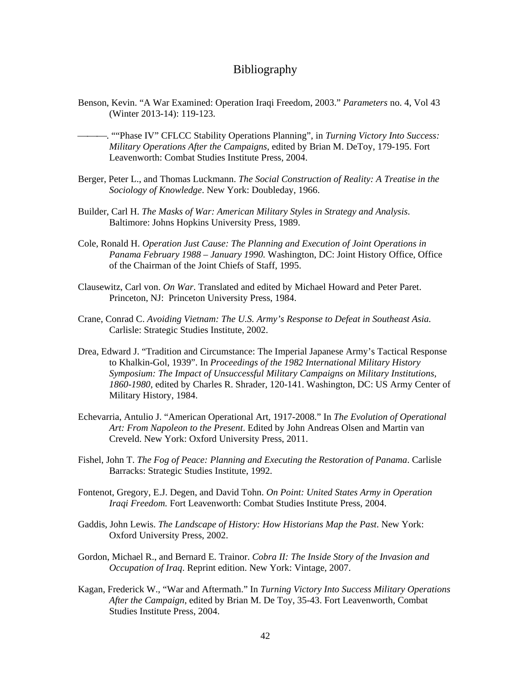#### Bibliography

- <span id="page-49-0"></span>Benson, Kevin. "A War Examined: Operation Iraqi Freedom, 2003." *Parameters* no. 4, Vol 43 (Winter 2013-14): 119-123.
- . ""Phase IV" CFLCC Stability Operations Planning", in *Turning Victory Into Success: Military Operations After the Campaigns*, edited by Brian M. DeToy, 179-195. Fort Leavenworth: Combat Studies Institute Press, 2004.
- Berger, Peter L., and Thomas Luckmann. *The Social Construction of Reality: A Treatise in the Sociology of Knowledge*. New York: Doubleday, 1966.
- Builder, Carl H. *The Masks of War: American Military Styles in Strategy and Analysis*. Baltimore: Johns Hopkins University Press, 1989.
- Cole, Ronald H. *Operation Just Cause: The Planning and Execution of Joint Operations in Panama February 1988 – January 1990.* Washington, DC: Joint History Office, Office of the Chairman of the Joint Chiefs of Staff, 1995.
- Clausewitz, Carl von. *On War*. Translated and edited by Michael Howard and Peter Paret. Princeton, NJ: Princeton University Press, 1984.
- Crane, Conrad C. *Avoiding Vietnam: The U.S. Army's Response to Defeat in Southeast Asia.* Carlisle: Strategic Studies Institute, 2002.
- Drea, Edward J. "Tradition and Circumstance: The Imperial Japanese Army's Tactical Response to Khalkin-Gol, 1939". In *Proceedings of the 1982 International Military History Symposium: The Impact of Unsuccessful Military Campaigns on Military Institutions, 1860-1980*, edited by Charles R. Shrader, 120-141. Washington, DC: US Army Center of Military History, 1984.
- Echevarria, Antulio J. "American Operational Art, 1917-2008." In *The Evolution of Operational Art: From Napoleon to the Present*. Edited by John Andreas Olsen and Martin van Creveld. New York: Oxford University Press, 2011.
- Fishel, John T. *The Fog of Peace: Planning and Executing the Restoration of Panama*. Carlisle Barracks: Strategic Studies Institute, 1992.
- Fontenot, Gregory, E.J. Degen, and David Tohn. *On Point: United States Army in Operation Iraqi Freedom.* Fort Leavenworth: Combat Studies Institute Press, 2004.
- Gaddis, John Lewis. *The Landscape of History: How Historians Map the Past*. New York: Oxford University Press, 2002.
- Gordon, Michael R., and Bernard E. Trainor. *Cobra II: The Inside Story of the Invasion and Occupation of Iraq*. Reprint edition. New York: Vintage, 2007.
- Kagan, Frederick W., "War and Aftermath." In *Turning Victory Into Success Military Operations After the Campaign*, edited by Brian M. De Toy, 35-43. Fort Leavenworth, Combat Studies Institute Press, 2004.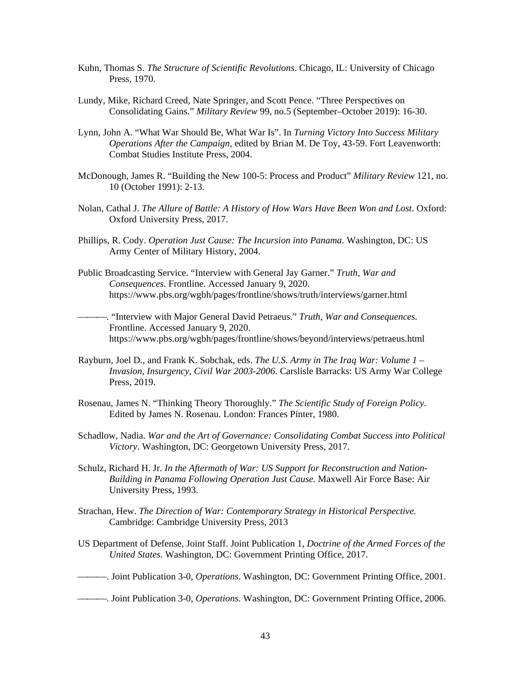- Kuhn, Thomas S. *The Structure of Scientific Revolutions*. Chicago, IL: University of Chicago Press, 1970.
- Lundy, Mike, Richard Creed, Nate Springer, and Scott Pence. "Three Perspectives on Consolidating Gains." *Military Review* 99, no.5 (September–October 2019): 16-30.
- Lynn, John A. "What War Should Be, What War Is". In *Turning Victory Into Success Military Operations After the Campaign*, edited by Brian M. De Toy, 43-59. Fort Leavenworth: Combat Studies Institute Press, 2004.
- McDonough, James R. "Building the New 100-5: Process and Product" *Military Review* 121, no. 10 (October 1991): 2-13.
- Nolan, Cathal J. *The Allure of Battle: A History of How Wars Have Been Won and Lost*. Oxford: Oxford University Press, 2017.
- Phillips, R. Cody. *Operation Just Cause: The Incursion into Panama*. Washington, DC: US Army Center of Military History, 2004.
- Public Broadcasting Service. "Interview with General Jay Garner." *Truth, War and Consequences.* Frontline. Accessed January 9, 2020. <https://www.pbs.org/wgbh/pages/frontline/shows/truth/interviews/garner.html>

. "Interview with Major General David Petraeus." *Truth, War and Consequences.*  Frontline. Accessed January 9, 2020. <https://www.pbs.org/wgbh/pages/frontline/shows/beyond/interviews/petraeus.html>

- Rayburn, Joel D., and Frank K. Sobchak, eds. *The U.S. Army in The Iraq War: Volume 1 Invasion, Insurgency, Civil War 2003-2006*. Carslisle Barracks: US Army War College Press, 2019.
- Rosenau, James N. "Thinking Theory Thoroughly." *The Scientific Study of Foreign Policy*. Edited by James N. Rosenau. London: Frances Pinter, 1980.
- Schadlow, Nadia. *War and the Art of Governance: Consolidating Combat Success into Political Victory*. Washington, DC: Georgetown University Press, 2017.
- Schulz, Richard H. Jr. *In the Aftermath of War: US Support for Reconstruction and Nation-Building in Panama Following Operation Just Cause.* Maxwell Air Force Base: Air University Press, 1993.
- Strachan, Hew. *The Direction of War: Contemporary Strategy in Historical Perspective.*  Cambridge: Cambridge University Press, 2013
- US Department of Defense, Joint Staff. Joint Publication 1, *Doctrine of the Armed Forces of the United States*. Washington, DC: Government Printing Office, 2017.
- . Joint Publication 3-0, *Operations*. Washington, DC: Government Printing Office, 2001.
- . Joint Publication 3-0, *Operations*. Washington, DC: Government Printing Office, 2006.